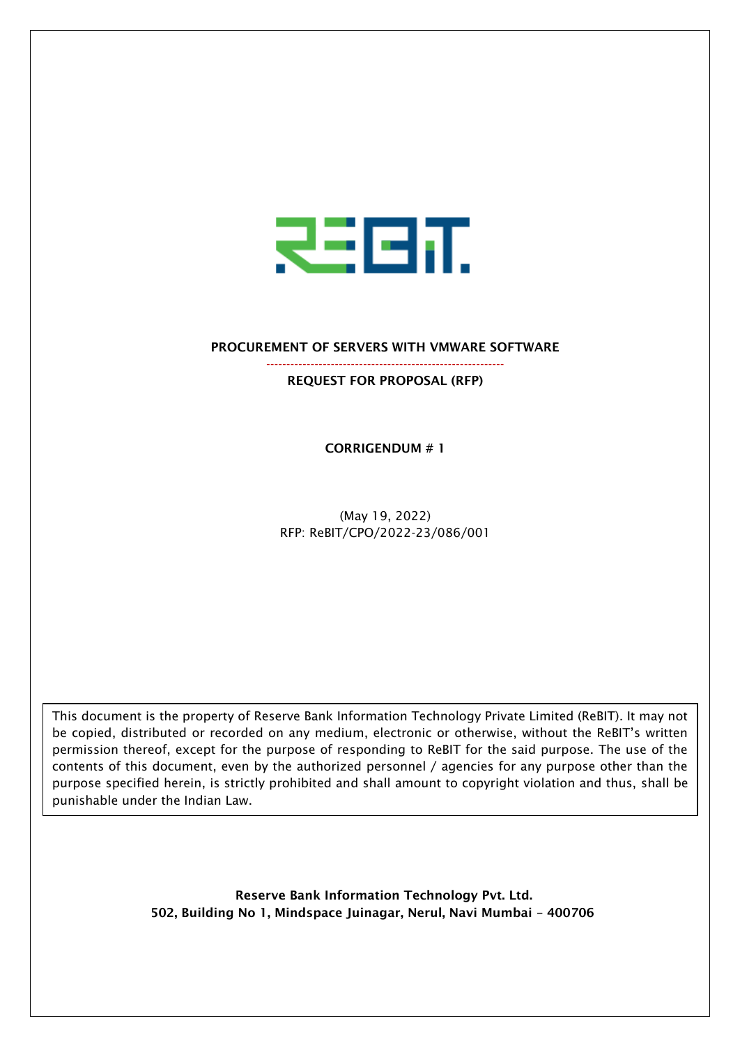

#### PROCUREMENT OF SERVERS WITH VMWARE SOFTWARE

----------------------------------------------------------- REQUEST FOR PROPOSAL (RFP)

CORRIGENDUM # 1

(May 19, 2022) RFP: ReBIT/CPO/2022-23/086/001

This document is the property of Reserve Bank Information Technology Private Limited (ReBIT). It may not be copied, distributed or recorded on any medium, electronic or otherwise, without the ReBIT's written permission thereof, except for the purpose of responding to ReBIT for the said purpose. The use of the contents of this document, even by the authorized personnel / agencies for any purpose other than the purpose specified herein, is strictly prohibited and shall amount to copyright violation and thus, shall be punishable under the Indian Law.

> Reserve Bank Information Technology Pvt. Ltd. 502, Building No 1, Mindspace Juinagar, Nerul, Navi Mumbai – 400706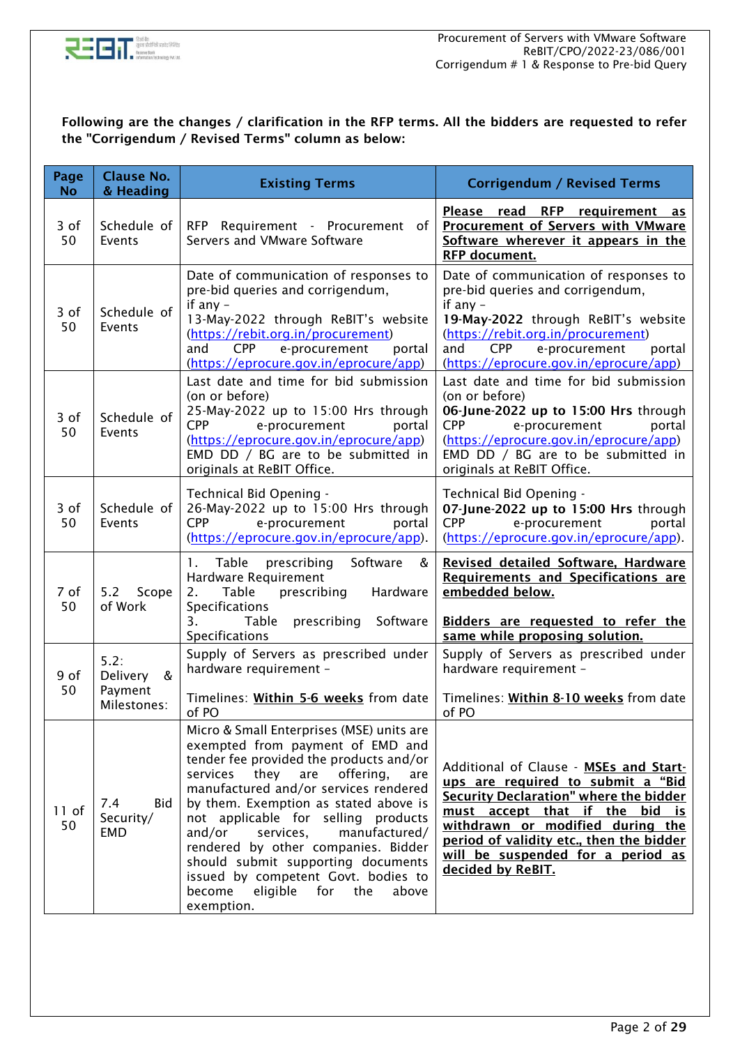

#### Following are the changes / clarification in the RFP terms. All the bidders are requested to refer the "Corrigendum / Revised Terms" column as below:

| Page<br><b>No</b> | <b>Clause No.</b><br>& Heading                  | <b>Existing Terms</b>                                                                                                                                                                                                                                                                                                                                                                                                                                                                                                   | <b>Corrigendum / Revised Terms</b>                                                                                                                                                                                                                                                                |
|-------------------|-------------------------------------------------|-------------------------------------------------------------------------------------------------------------------------------------------------------------------------------------------------------------------------------------------------------------------------------------------------------------------------------------------------------------------------------------------------------------------------------------------------------------------------------------------------------------------------|---------------------------------------------------------------------------------------------------------------------------------------------------------------------------------------------------------------------------------------------------------------------------------------------------|
| 3 of<br>50        | Schedule of<br>Events                           | RFP Requirement - Procurement of<br>Servers and VMware Software                                                                                                                                                                                                                                                                                                                                                                                                                                                         | Please read RFP requirement as<br><b>Procurement of Servers with VMware</b><br>Software wherever it appears in the<br>RFP document.                                                                                                                                                               |
| 3 of<br>50        | Schedule of<br>Events                           | Date of communication of responses to<br>pre-bid queries and corrigendum,<br>if any -<br>13-May-2022 through ReBIT's website<br>(https://rebit.org.in/procurement)<br>and<br><b>CPP</b><br>e-procurement<br>portal<br>(https://eprocure.gov.in/eprocure/app)                                                                                                                                                                                                                                                            | Date of communication of responses to<br>pre-bid queries and corrigendum,<br>if any -<br>19-May-2022 through ReBIT's website<br>(https://rebit.org.in/procurement)<br>and<br><b>CPP</b><br>e-procurement<br>portal<br>(https://eprocure.gov.in/eprocure/app)                                      |
| 3 of<br>50        | Schedule of<br>Events                           | Last date and time for bid submission<br>(on or before)<br>25-May-2022 up to 15:00 Hrs through<br><b>CPP</b><br>e-procurement<br>portal<br>(https://eprocure.gov.in/eprocure/app)<br>EMD DD / BG are to be submitted in<br>originals at ReBIT Office.                                                                                                                                                                                                                                                                   | Last date and time for bid submission<br>(on or before)<br>06-June-2022 up to 15:00 Hrs through<br><b>CPP</b><br>e-procurement<br>portal<br>(https://eprocure.gov.in/eprocure/app)<br>EMD DD / BG are to be submitted in<br>originals at ReBIT Office.                                            |
| 3 of<br>50        | Schedule of<br>Events                           | Technical Bid Opening -<br>26-May-2022 up to 15:00 Hrs through<br><b>CPP</b><br>e-procurement<br>portal<br>(https://eprocure.gov.in/eprocure/app).                                                                                                                                                                                                                                                                                                                                                                      | Technical Bid Opening -<br>07-June-2022 up to 15:00 Hrs through<br><b>CPP</b><br>e-procurement<br>portal<br>(https://eprocure.gov.in/eprocure/app).                                                                                                                                               |
| 7 of<br>50        | 5.2<br>Scope<br>of Work                         | 1. Table prescribing Software<br>&<br>Hardware Requirement<br>Table<br>Hardware<br>2.<br>prescribing<br><b>Specifications</b><br>3.<br>Table<br>prescribing Software<br>Specifications                                                                                                                                                                                                                                                                                                                                  | Revised detailed Software, Hardware<br><b>Requirements and Specifications are</b><br>embedded below.<br>Bidders are requested to refer the<br>same while proposing solution.                                                                                                                      |
| 9 of<br>50        | 5.2:<br>Delivery<br>&<br>Payment<br>Milestones: | Supply of Servers as prescribed under<br>hardware requirement -<br>Timelines: Within 5-6 weeks from date<br>of PO                                                                                                                                                                                                                                                                                                                                                                                                       | Supply of Servers as prescribed under<br>hardware requirement -<br>Timelines: Within 8-10 weeks from date<br>of PO                                                                                                                                                                                |
| $11$ of<br>50     | 7.4<br><b>Bid</b><br>Security/<br><b>EMD</b>    | Micro & Small Enterprises (MSE) units are<br>exempted from payment of EMD and<br>tender fee provided the products and/or<br>services<br>they<br>offering,<br>are<br>are<br>manufactured and/or services rendered<br>by them. Exemption as stated above is<br>not applicable for selling products<br>and/or<br>services,<br>manufactured/<br>rendered by other companies. Bidder<br>should submit supporting documents<br>issued by competent Govt. bodies to<br>become<br>eligible<br>for<br>the<br>above<br>exemption. | Additional of Clause - MSEs and Start-<br>ups are required to submit a "Bid<br>Security Declaration" where the bidder<br>must accept that if the bid is<br>withdrawn or modified during the<br>period of validity etc., then the bidder<br>will be suspended for a period as<br>decided by ReBIT. |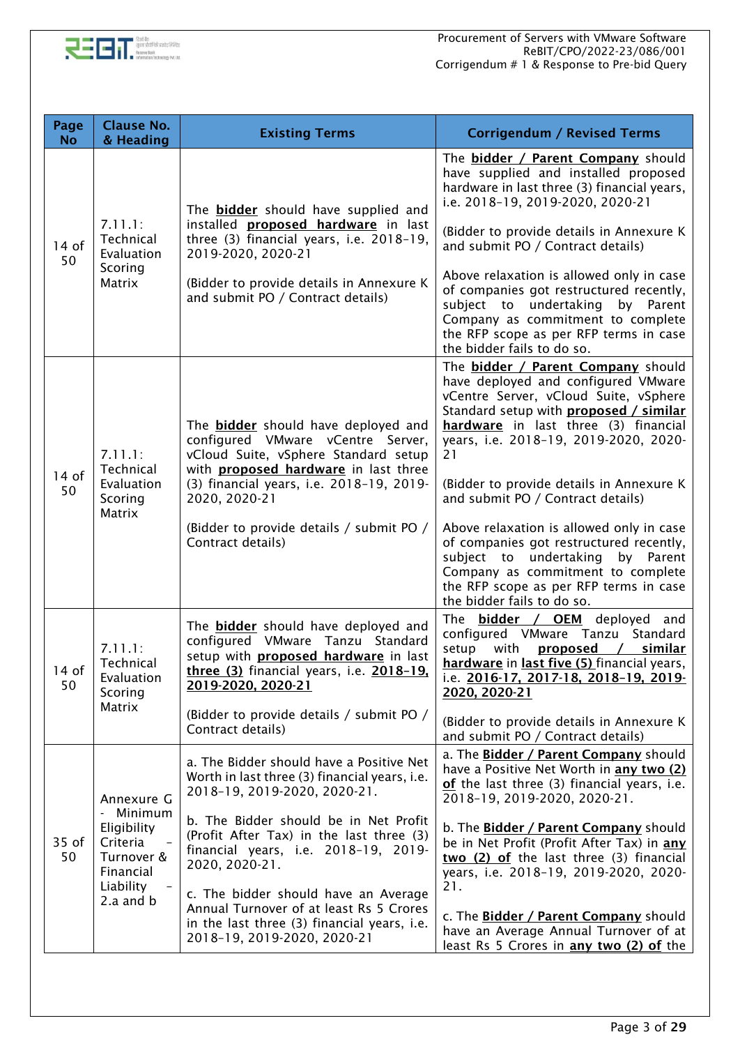

| Page<br><b>No</b> | <b>Clause No.</b><br>& Heading                                                                        | <b>Existing Terms</b>                                                                                                                                                                                                                                                                                                                                                                                                                     | <b>Corrigendum / Revised Terms</b>                                                                                                                                                                                                                                                                                                                                                                                                                                                                                                                                                                |
|-------------------|-------------------------------------------------------------------------------------------------------|-------------------------------------------------------------------------------------------------------------------------------------------------------------------------------------------------------------------------------------------------------------------------------------------------------------------------------------------------------------------------------------------------------------------------------------------|---------------------------------------------------------------------------------------------------------------------------------------------------------------------------------------------------------------------------------------------------------------------------------------------------------------------------------------------------------------------------------------------------------------------------------------------------------------------------------------------------------------------------------------------------------------------------------------------------|
| $14$ of<br>50     | 7.11.1:<br>Technical<br>Evaluation<br>Scoring<br>Matrix                                               | The <b>bidder</b> should have supplied and<br>installed <b>proposed hardware</b> in last<br>three (3) financial years, i.e. 2018-19,<br>2019-2020, 2020-21<br>(Bidder to provide details in Annexure K<br>and submit PO / Contract details)                                                                                                                                                                                               | The <b>bidder / Parent Company</b> should<br>have supplied and installed proposed<br>hardware in last three (3) financial years,<br>i.e. 2018-19, 2019-2020, 2020-21<br>(Bidder to provide details in Annexure K<br>and submit PO / Contract details)<br>Above relaxation is allowed only in case<br>of companies got restructured recently,<br>subject to undertaking<br>by Parent<br>Company as commitment to complete<br>the RFP scope as per RFP terms in case<br>the bidder fails to do so.                                                                                                  |
| $14$ of<br>50     | 7.11.1:<br>Technical<br>Evaluation<br>Scoring<br>Matrix                                               | The <b>bidder</b> should have deployed and<br>configured VMware vCentre Server,<br>vCloud Suite, vSphere Standard setup<br>with <b>proposed hardware</b> in last three<br>(3) financial years, i.e. 2018-19, 2019-<br>2020, 2020-21<br>(Bidder to provide details / submit PO /<br>Contract details)                                                                                                                                      | The <b>bidder / Parent Company</b> should<br>have deployed and configured VMware<br>vCentre Server, vCloud Suite, vSphere<br>Standard setup with <b>proposed</b> / similar<br>hardware in last three (3) financial<br>years, i.e. 2018-19, 2019-2020, 2020-<br>21<br>(Bidder to provide details in Annexure K)<br>and submit PO / Contract details)<br>Above relaxation is allowed only in case<br>of companies got restructured recently,<br>subject to undertaking<br>by<br>Parent<br>Company as commitment to complete<br>the RFP scope as per RFP terms in case<br>the bidder fails to do so. |
| 14 of<br>50       | 7.11.1:<br>Technical<br>Evaluation<br>Scoring<br>Matrix                                               | The bidder should have deployed and<br>configured VMware Tanzu Standard<br>setup with <b>proposed hardware</b> in last<br>three (3) financial years, i.e. 2018-19.<br>2019-2020, 2020-21<br>(Bidder to provide details / submit PO /<br>Contract details)                                                                                                                                                                                 | The <b>bidder / OEM</b> deployed and<br>configured VMware Tanzu Standard<br>setup<br>with<br>proposed<br><u>similar</u><br>$\sqrt{2}$<br>hardware in last five (5) financial years,<br>i.e. 2016-17, 2017-18, 2018-19, 2019-<br>2020, 2020-21<br>(Bidder to provide details in Annexure K)<br>and submit PO / Contract details)                                                                                                                                                                                                                                                                   |
| 35 of<br>50       | Annexure G<br>Minimum<br>Eligibility<br>Criteria<br>Turnover &<br>Financial<br>Liability<br>2.a and b | a. The Bidder should have a Positive Net<br>Worth in last three (3) financial years, i.e.<br>2018-19, 2019-2020, 2020-21.<br>b. The Bidder should be in Net Profit<br>(Profit After Tax) in the last three (3)<br>financial years, i.e. 2018-19, 2019-<br>2020, 2020-21.<br>c. The bidder should have an Average<br>Annual Turnover of at least Rs 5 Crores<br>in the last three (3) financial years, i.e.<br>2018-19, 2019-2020, 2020-21 | a. The Bidder / Parent Company should<br>have a Positive Net Worth in any two (2)<br>of the last three (3) financial years, i.e.<br>2018-19, 2019-2020, 2020-21.<br>b. The Bidder / Parent Company should<br>be in Net Profit (Profit After Tax) in any<br>two (2) of the last three (3) financial<br>years, i.e. 2018-19, 2019-2020, 2020-<br>21.<br>c. The Bidder / Parent Company should<br>have an Average Annual Turnover of at<br>least Rs 5 Crores in <b>any two (2) of</b> the                                                                                                            |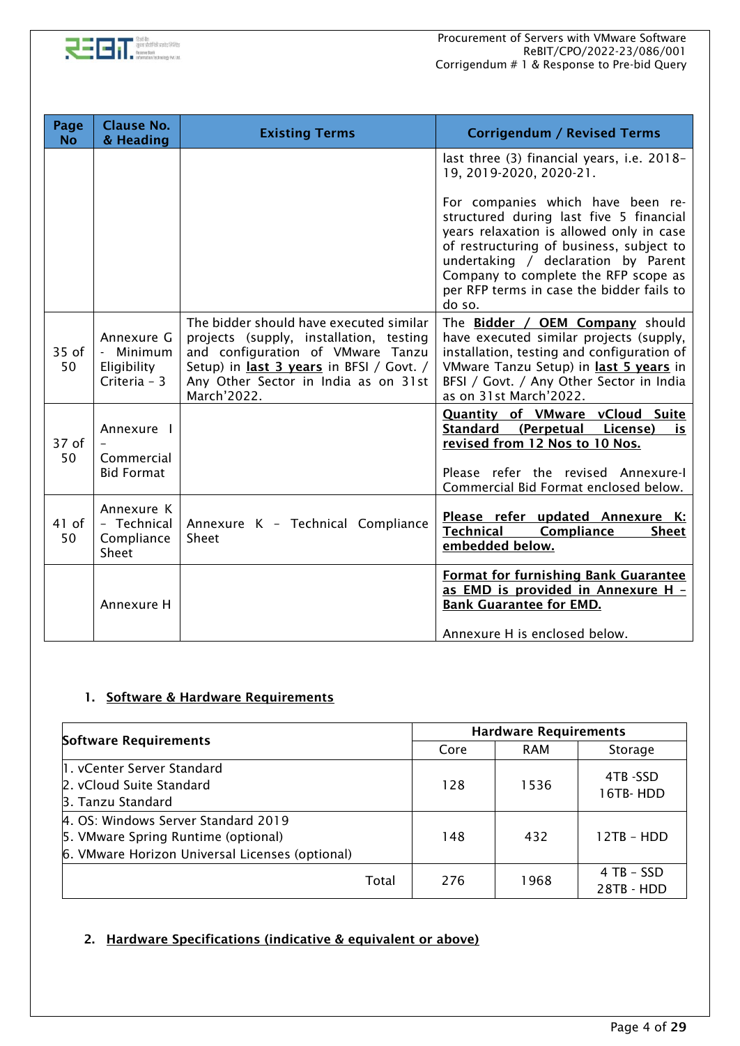

| Page<br><b>No</b> | <b>Clause No.</b><br>& Heading                       | <b>Existing Terms</b>                                                                                                                                                                                                      | <b>Corrigendum / Revised Terms</b>                                                                                                                                                                                                                                                                                                                                                  |
|-------------------|------------------------------------------------------|----------------------------------------------------------------------------------------------------------------------------------------------------------------------------------------------------------------------------|-------------------------------------------------------------------------------------------------------------------------------------------------------------------------------------------------------------------------------------------------------------------------------------------------------------------------------------------------------------------------------------|
|                   |                                                      |                                                                                                                                                                                                                            | last three (3) financial years, i.e. 2018-<br>19, 2019-2020, 2020-21.<br>For companies which have been re-<br>structured during last five 5 financial<br>years relaxation is allowed only in case<br>of restructuring of business, subject to<br>undertaking / declaration by Parent<br>Company to complete the RFP scope as<br>per RFP terms in case the bidder fails to<br>do so. |
| $35$ of<br>50     | Annexure G<br>Minimum<br>Eligibility<br>Criteria - 3 | The bidder should have executed similar<br>projects (supply, installation, testing<br>and configuration of VMware Tanzu<br>Setup) in last 3 years in BFSI / Govt. /<br>Any Other Sector in India as on 31st<br>March'2022. | The Bidder / OEM Company should<br>have executed similar projects (supply,<br>installation, testing and configuration of<br>VMware Tanzu Setup) in last 5 years in<br>BFSI / Govt. / Any Other Sector in India<br>as on 31st March'2022.                                                                                                                                            |
| $37$ of<br>50     | Annexure I<br>Commercial<br><b>Bid Format</b>        |                                                                                                                                                                                                                            | <b>Quantity of VMware vCloud Suite</b><br>Standard (Perpetual License)<br>is.<br>revised from 12 Nos to 10 Nos.<br>Please refer the revised Annexure-I<br>Commercial Bid Format enclosed below.                                                                                                                                                                                     |
| $41$ of<br>50     | Annexure K<br>- Technical<br>Compliance<br>Sheet     | Annexure K - Technical Compliance<br>Sheet                                                                                                                                                                                 | Please refer updated Annexure K:<br><b>Technical</b><br>Compliance<br><b>Sheet</b><br>embedded below.                                                                                                                                                                                                                                                                               |
|                   | Annexure H                                           |                                                                                                                                                                                                                            | <b>Format for furnishing Bank Guarantee</b><br>as EMD is provided in Annexure H -<br><b>Bank Guarantee for EMD.</b><br>Annexure H is enclosed below.                                                                                                                                                                                                                                |

#### 1. Software & Hardware Requirements

| <b>Software Requirements</b>                                                                                                  | <b>Hardware Requirements</b> |      |            |                          |  |
|-------------------------------------------------------------------------------------------------------------------------------|------------------------------|------|------------|--------------------------|--|
|                                                                                                                               |                              | Core | <b>RAM</b> | Storage                  |  |
| 1. vCenter Server Standard<br>2. vCloud Suite Standard<br>3. Tanzu Standard                                                   |                              | 128  | 1536       | 4TB-SSD<br>16TB-HDD      |  |
| 4. OS: Windows Server Standard 2019<br>5. VMware Spring Runtime (optional)<br>6. VMware Horizon Universal Licenses (optional) |                              | 148  | 432        | 12TB - HDD               |  |
|                                                                                                                               | Total                        | 276  | 1968       | 4 TB - SSD<br>28TB - HDD |  |

### 2. Hardware Specifications (indicative & equivalent or above)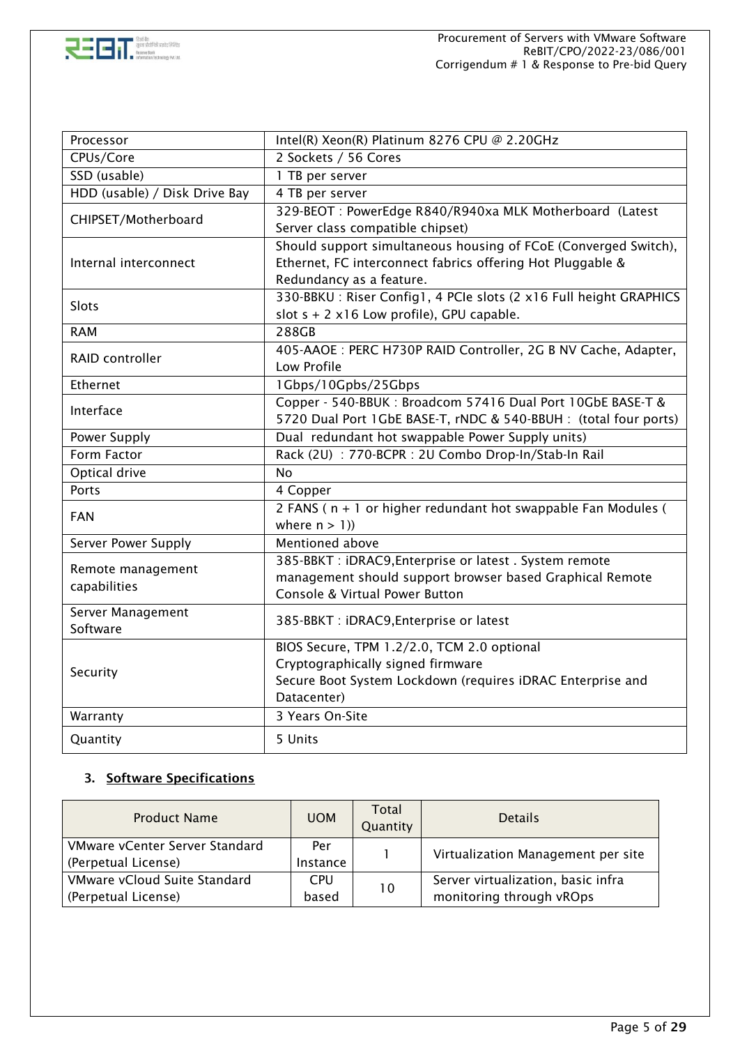

| Processor                         | Intel(R) Xeon(R) Platinum 8276 CPU @ 2.20GHz                                                                                                                 |
|-----------------------------------|--------------------------------------------------------------------------------------------------------------------------------------------------------------|
| CPUs/Core                         | 2 Sockets / 56 Cores                                                                                                                                         |
| SSD (usable)                      | 1 TB per server                                                                                                                                              |
| HDD (usable) / Disk Drive Bay     | 4 TB per server                                                                                                                                              |
| CHIPSET/Motherboard               | 329-BEOT : PowerEdge R840/R940xa MLK Motherboard (Latest<br>Server class compatible chipset)                                                                 |
| Internal interconnect             | Should support simultaneous housing of FCoE (Converged Switch),<br>Ethernet, FC interconnect fabrics offering Hot Pluggable &<br>Redundancy as a feature.    |
| <b>Slots</b>                      | 330-BBKU: Riser Config1, 4 PCIe slots (2 x16 Full height GRAPHICS<br>slot $s + 2x16$ Low profile), GPU capable.                                              |
| <b>RAM</b>                        | 288GB                                                                                                                                                        |
| RAID controller                   | 405-AAOE : PERC H730P RAID Controller, 2G B NV Cache, Adapter,<br>Low Profile                                                                                |
| Ethernet                          | 1Gbps/10Gpbs/25Gbps                                                                                                                                          |
| Interface                         | Copper - 540-BBUK: Broadcom 57416 Dual Port 10GbE BASE-T &<br>5720 Dual Port 1GbE BASE-T, rNDC & 540-BBUH : (total four ports)                               |
| Power Supply                      | Dual redundant hot swappable Power Supply units)                                                                                                             |
| Form Factor                       | Rack (2U) : 770-BCPR : 2U Combo Drop-In/Stab-In Rail                                                                                                         |
| Optical drive                     | <b>No</b>                                                                                                                                                    |
| Ports                             | 4 Copper                                                                                                                                                     |
| <b>FAN</b>                        | 2 FANS (n + 1 or higher redundant hot swappable Fan Modules (<br>where $n > 1$ )                                                                             |
| Server Power Supply               | Mentioned above                                                                                                                                              |
| Remote management<br>capabilities | 385-BBKT : iDRAC9, Enterprise or latest . System remote<br>management should support browser based Graphical Remote<br>Console & Virtual Power Button        |
| Server Management<br>Software     | 385-BBKT : iDRAC9, Enterprise or latest                                                                                                                      |
| Security                          | BIOS Secure, TPM 1.2/2.0, TCM 2.0 optional<br>Cryptographically signed firmware<br>Secure Boot System Lockdown (requires iDRAC Enterprise and<br>Datacenter) |
| Warranty                          | 3 Years On-Site                                                                                                                                              |
| Quantity                          | 5 Units                                                                                                                                                      |

### 3. Software Specifications

| <b>Product Name</b>                                   | <b>UOM</b>      | Total<br>Quantity | <b>Details</b>                     |  |
|-------------------------------------------------------|-----------------|-------------------|------------------------------------|--|
| VMware vCenter Server Standard<br>(Perpetual License) | Per<br>Instance |                   | Virtualization Management per site |  |
| VMware vCloud Suite Standard                          | <b>CPU</b>      | 10                | Server virtualization, basic infra |  |
| (Perpetual License)                                   | based           |                   | monitoring through vROps           |  |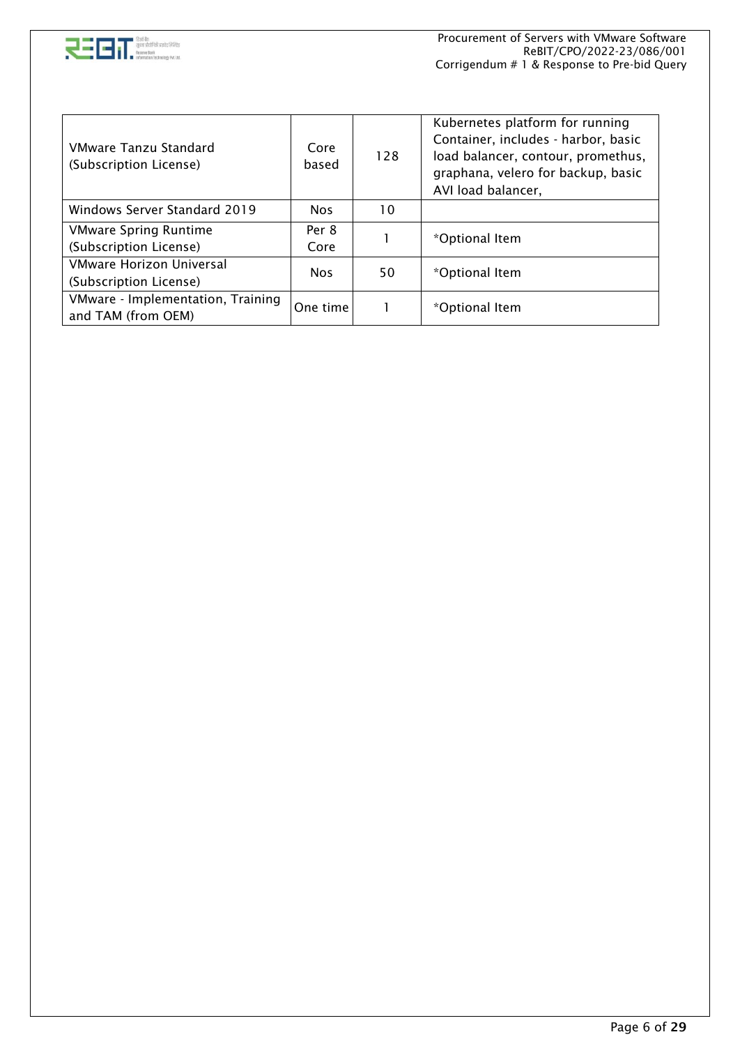

| VMware Tanzu Standard<br>(Subscription License)         | Core<br>based | 128 | Kubernetes platform for running<br>Container, includes - harbor, basic<br>load balancer, contour, promethus,<br>graphana, velero for backup, basic<br>AVI load balancer, |  |  |
|---------------------------------------------------------|---------------|-----|--------------------------------------------------------------------------------------------------------------------------------------------------------------------------|--|--|
| Windows Server Standard 2019                            | <b>Nos</b>    | 10  |                                                                                                                                                                          |  |  |
| <b>VMware Spring Runtime</b>                            | Per 8         |     | *Optional Item                                                                                                                                                           |  |  |
| (Subscription License)                                  | Core          |     |                                                                                                                                                                          |  |  |
| VMware Horizon Universal                                | <b>Nos</b>    | 50  | *Optional Item                                                                                                                                                           |  |  |
| (Subscription License)                                  |               |     |                                                                                                                                                                          |  |  |
| VMware - Implementation, Training<br>and TAM (from OEM) | One time      |     | *Optional Item                                                                                                                                                           |  |  |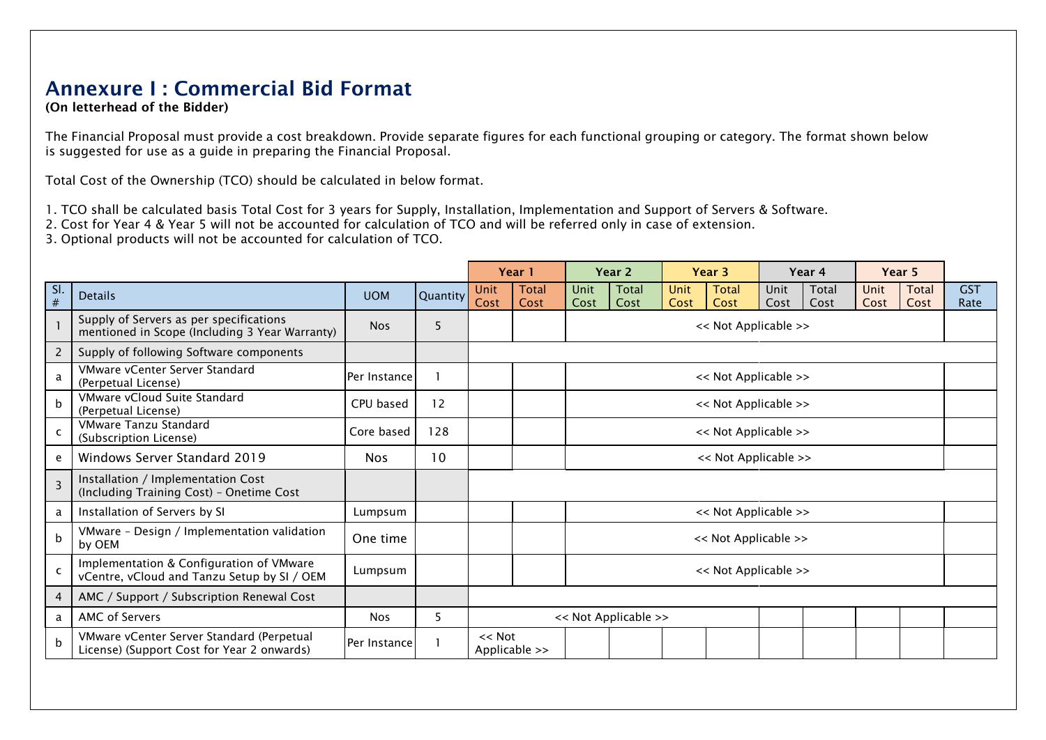## Annexure I : Commercial Bid Format

(On letterhead of the Bidder)

The Financial Proposal must provide a cost breakdown. Provide separate figures for each functional grouping or category. The format shown below is suggested for use as a guide in preparing the Financial Proposal.

Total Cost of the Ownership (TCO) should be calculated in below format.

1. TCO shall be calculated basis Total Cost for 3 years for Supply, Installation, Implementation and Support of Servers & Software.

2. Cost for Year 4 & Year 5 will not be accounted for calculation of TCO and will be referred only in case of extension.

3. Optional products will not be accounted for calculation of TCO.

|                |                                                                                           |              |          | Year 1                       |                      | Year <sub>2</sub> |                      | Year <sub>3</sub> |                      | Year 4       |               | Year 5       |                      |                    |
|----------------|-------------------------------------------------------------------------------------------|--------------|----------|------------------------------|----------------------|-------------------|----------------------|-------------------|----------------------|--------------|---------------|--------------|----------------------|--------------------|
| SI.<br>$\#$    | <b>Details</b>                                                                            | <b>UOM</b>   | Quantity | Unit<br>Cost                 | <b>Total</b><br>Cost | Unit<br>Cost      | Total<br>Cost        | Unit<br>Cost      | Total<br>Cost        | Unit<br>Cost | Total<br>Cost | Unit<br>Cost | <b>Total</b><br>Cost | <b>GST</b><br>Rate |
|                | Supply of Servers as per specifications<br>mentioned in Scope (Including 3 Year Warranty) | <b>Nos</b>   | 5        |                              |                      |                   |                      |                   | << Not Applicable >> |              |               |              |                      |                    |
| 2              | Supply of following Software components                                                   |              |          |                              |                      |                   |                      |                   |                      |              |               |              |                      |                    |
| a              | VMware vCenter Server Standard<br>(Perpetual License)                                     | Per Instance |          |                              |                      |                   |                      |                   | << Not Applicable >> |              |               |              |                      |                    |
| <sub>b</sub>   | VMware vCloud Suite Standard<br>(Perpetual License)                                       | CPU based    | 12       |                              |                      |                   |                      |                   | << Not Applicable >> |              |               |              |                      |                    |
| $\mathsf{C}$   | <b>VMware Tanzu Standard</b><br>(Subscription License)                                    | Core based   | 128      |                              |                      |                   |                      |                   | << Not Applicable >> |              |               |              |                      |                    |
| e              | Windows Server Standard 2019                                                              | <b>Nos</b>   | 10       |                              |                      |                   |                      |                   | << Not Applicable >> |              |               |              |                      |                    |
| $\overline{3}$ | Installation / Implementation Cost<br>(Including Training Cost) - Onetime Cost            |              |          |                              |                      |                   |                      |                   |                      |              |               |              |                      |                    |
| a              | Installation of Servers by SI                                                             | Lumpsum      |          |                              |                      |                   |                      |                   | << Not Applicable >> |              |               |              |                      |                    |
| $\mathsf b$    | VMware - Design / Implementation validation<br>by OEM                                     | One time     |          |                              |                      |                   |                      |                   | << Not Applicable >> |              |               |              |                      |                    |
| $\mathsf{C}$   | Implementation & Configuration of VMware<br>vCentre, vCloud and Tanzu Setup by SI / OEM   | Lumpsum      |          |                              |                      |                   |                      |                   | << Not Applicable >> |              |               |              |                      |                    |
| 4              | AMC / Support / Subscription Renewal Cost                                                 |              |          |                              |                      |                   |                      |                   |                      |              |               |              |                      |                    |
| a              | AMC of Servers                                                                            | <b>Nos</b>   | 5        |                              |                      |                   | << Not Applicable >> |                   |                      |              |               |              |                      |                    |
| b              | VMware vCenter Server Standard (Perpetual<br>License) (Support Cost for Year 2 onwards)   | Per Instance |          | $<<$ Not<br>Applicable $\gg$ |                      |                   |                      |                   |                      |              |               |              |                      |                    |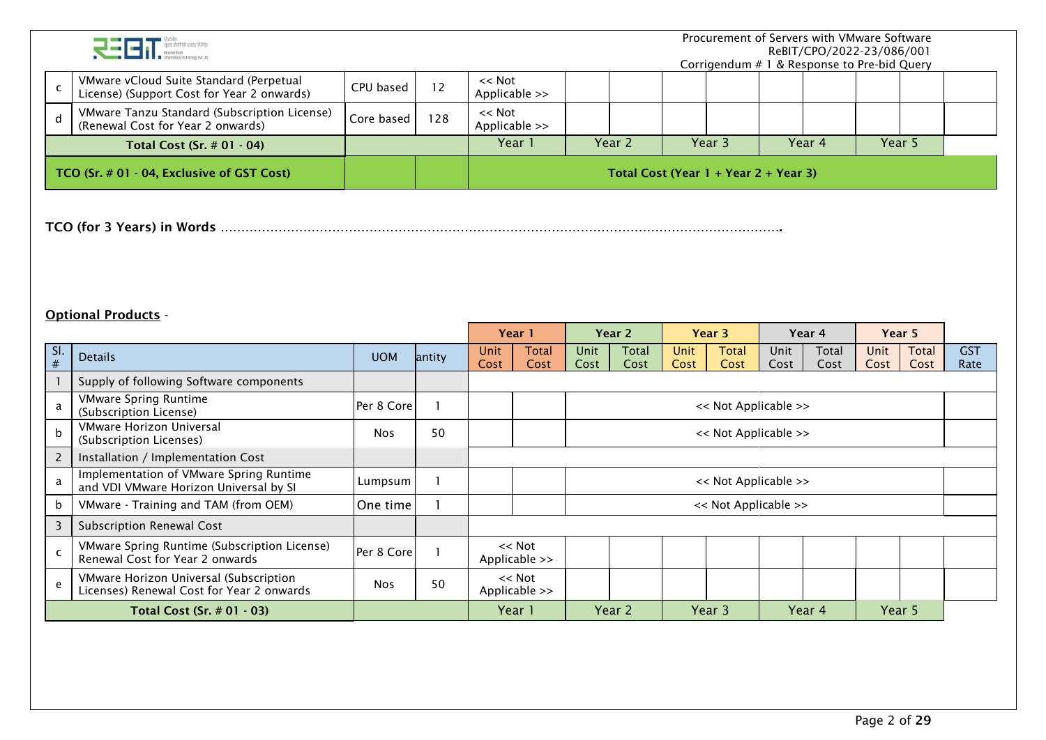|                            | रनन                                                                                   |            |              |                           |      |                                         |      | Procurement of Servers with VMware Software<br>Corrigendum # 1 & Response to Pre-bid Query |      | ReBIT/CPO/2022-23/086/001 |        |              |                         |
|----------------------------|---------------------------------------------------------------------------------------|------------|--------------|---------------------------|------|-----------------------------------------|------|--------------------------------------------------------------------------------------------|------|---------------------------|--------|--------------|-------------------------|
| $\mathsf{C}$               | VMware vCloud Suite Standard (Perpetual<br>License) (Support Cost for Year 2 onwards) | CPU based  | 12           | $<<$ Not<br>Applicable >> |      |                                         |      |                                                                                            |      |                           |        |              |                         |
| $\mathbf d$                | VMware Tanzu Standard (Subscription License)<br>(Renewal Cost for Year 2 onwards)     | Core based | 128          | $<<$ Not<br>Applicable >> |      |                                         |      |                                                                                            |      |                           |        |              |                         |
|                            | Total Cost (Sr. $# 01 - 04$ )                                                         |            |              | Year 1                    |      | Year 2                                  |      | Year 3                                                                                     |      | Year 4                    | Year 5 |              |                         |
|                            | TCO (Sr. # 01 - 04, Exclusive of GST Cost)                                            |            |              |                           |      | Total Cost (Year $1 +$ Year 2 + Year 3) |      |                                                                                            |      |                           |        |              |                         |
| <b>Optional Products -</b> |                                                                                       |            |              |                           |      |                                         |      |                                                                                            |      |                           |        |              |                         |
|                            |                                                                                       |            |              | Year 1                    |      | Year 2                                  |      | Year 3                                                                                     |      | Year 4                    |        | Year 5       |                         |
| SI.                        | <b>Details</b>                                                                        | <b>UOM</b> | antity       | <b>Total</b><br>Unit      | Unit | <b>Total</b>                            | Unit | <b>Total</b>                                                                               | Unit | Total                     | Unit   | <b>Total</b> | $\overline{\text{GST}}$ |
| $\#$<br>$\mathbf{1}$       | Supply of following Software components                                               |            |              | Cost<br>Cost              | Cost | Cost                                    | Cost | Cost                                                                                       | Cost | Cost                      | Cost   | Cost         | Rate                    |
| a                          | <b>VMware Spring Runtime</b><br>(Subscription License)                                | Per 8 Core |              |                           |      |                                         |      | << Not Applicable >>                                                                       |      |                           |        |              |                         |
| $\mathbf b$                | VMware Horizon Universal<br>(Subscription Licenses)                                   | <b>Nos</b> | 50           |                           |      |                                         |      | << Not Applicable >>                                                                       |      |                           |        |              |                         |
| $\overline{2}$             | Installation / Implementation Cost                                                    |            |              |                           |      |                                         |      |                                                                                            |      |                           |        |              |                         |
| a                          | Implementation of VMware Spring Runtime<br>and VDI VMware Horizon Universal by SI     | Lumpsum    | $\mathbf{1}$ |                           |      |                                         |      | << Not Applicable >>                                                                       |      |                           |        |              |                         |
| $\sf b$                    | VMware - Training and TAM (from OEM)                                                  | One time   |              |                           |      |                                         |      | << Not Applicable >>                                                                       |      |                           |        |              |                         |
| $\overline{3}$             | <b>Subscription Renewal Cost</b>                                                      |            |              |                           |      |                                         |      |                                                                                            |      |                           |        |              |                         |
| $\mathsf{C}$               | VMware Spring Runtime (Subscription License)<br>Renewal Cost for Year 2 onwards       | Per 8 Core | $\mathbf{1}$ | $<<$ Not<br>Applicable >> |      |                                         |      |                                                                                            |      |                           |        |              |                         |
| $\mathsf{e}$               | VMware Horizon Universal (Subscription<br>Licenses) Renewal Cost for Year 2 onwards   | <b>Nos</b> | 50           | $<<$ Not<br>Applicable >> |      |                                         |      |                                                                                            |      |                           |        |              |                         |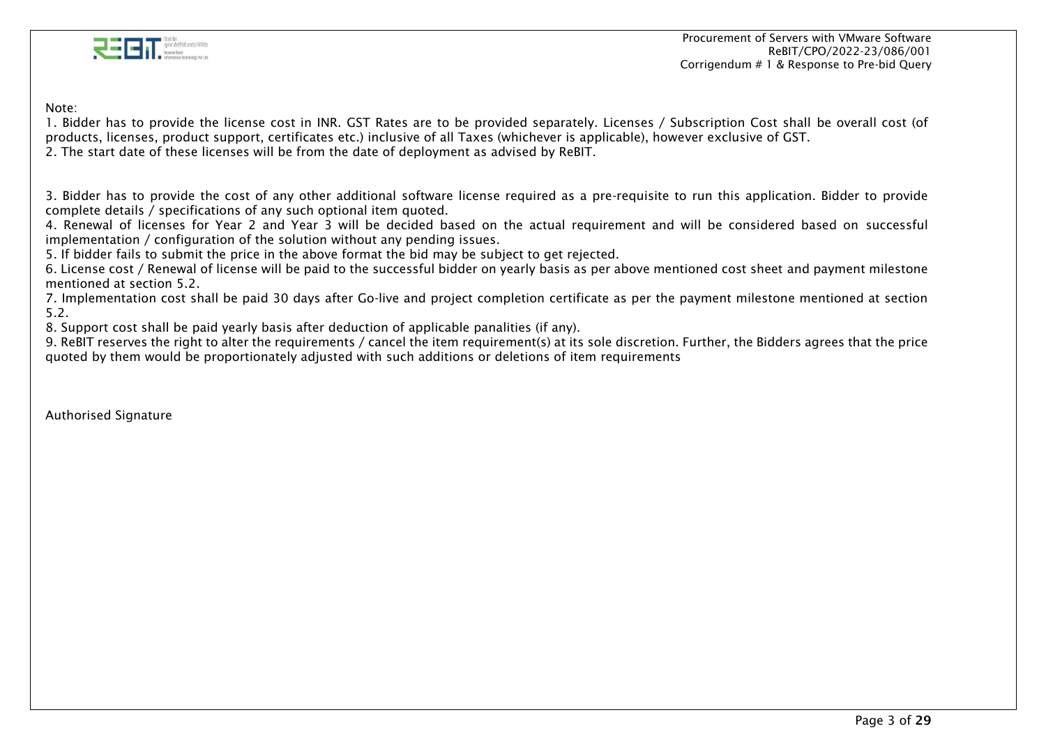

Procurement of Servers with VMware Software ReBIT/CPO/2022-23/086/001 Corrigendum # 1 & Response to Pre-bid Query

Note:

1. Bidder has to provide the license cost in INR. GST Rates are to be provided separately. Licenses / Subscription Cost shall be overall cost (of products, licenses, product support, certificates etc.) inclusive of all Taxes (whichever is applicable), however exclusive of GST.

2. The start date of these licenses will be from the date of deployment as advised by ReBIT.

3. Bidder has to provide the cost of any other additional software license required as a pre-requisite to run this application. Bidder to provide complete details / specifications of any such optional item quoted.

4. Renewal of licenses for Year 2 and Year 3 will be decided based on the actual requirement and will be considered based on successful implementation / configuration of the solution without any pending issues.

5. If bidder fails to submit the price in the above format the bid may be subject to get rejected.

6. License cost / Renewal of license will be paid to the successful bidder on yearly basis as per above mentioned cost sheet and payment milestone mentioned at section 5.2

7. Implementation cost shall be paid 30 days after Go-live and project completion certificate as per the payment milestone mentioned at section 5.2.

8. Support cost shall be paid yearly basis after deduction of applicable panalities (if any).

9. ReBIT reserves the right to alter the requirements / cancel the item requirement(s) at its sole discretion. Further, the Bidders agrees that the price quoted by them would be proportionately adjusted with such additions or deletions of item requirements

Authorised Signature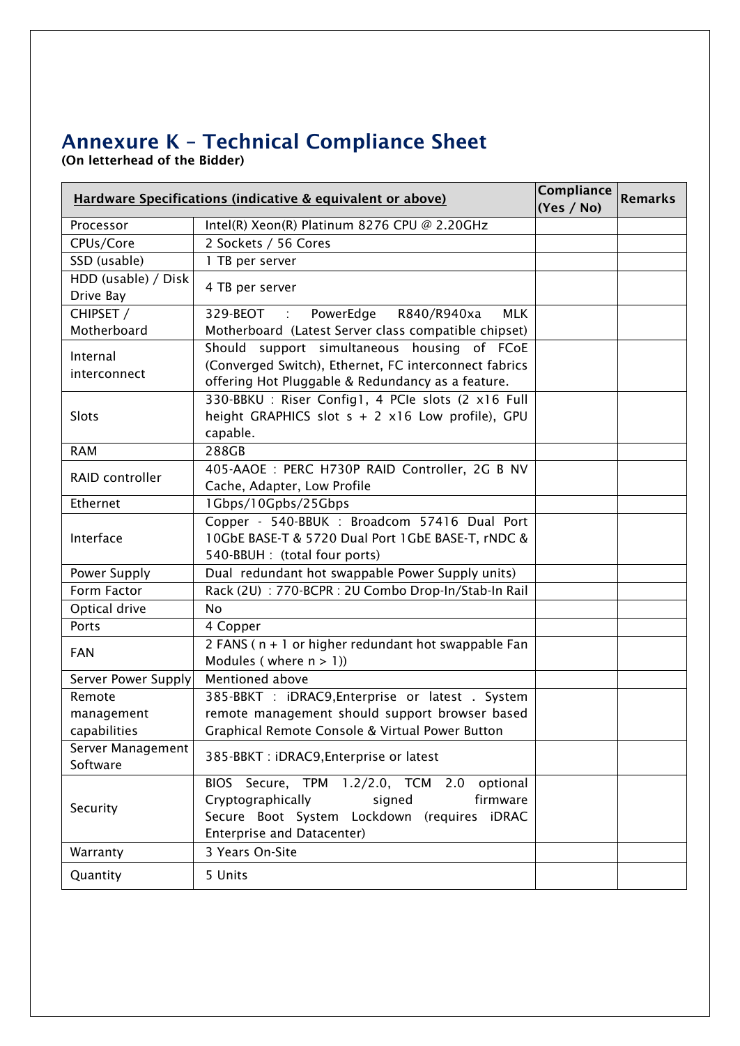# Annexure K – Technical Compliance Sheet

(On letterhead of the Bidder)

| <b>Hardware Specifications (indicative &amp; equivalent or above)</b> | Compliance<br>(Yes / No)                                                                                                                                              | <b>Remarks</b> |  |
|-----------------------------------------------------------------------|-----------------------------------------------------------------------------------------------------------------------------------------------------------------------|----------------|--|
| Processor                                                             | Intel(R) Xeon(R) Platinum 8276 CPU @ 2.20GHz                                                                                                                          |                |  |
| CPUs/Core                                                             | 2 Sockets / 56 Cores                                                                                                                                                  |                |  |
| SSD (usable)                                                          | 1 TB per server                                                                                                                                                       |                |  |
| HDD (usable) / Disk<br>Drive Bay                                      | 4 TB per server                                                                                                                                                       |                |  |
| CHIPSET /                                                             | PowerEdge<br>329-BEOT:<br>R840/R940xa<br><b>MLK</b>                                                                                                                   |                |  |
| Motherboard                                                           | Motherboard (Latest Server class compatible chipset)                                                                                                                  |                |  |
| Internal<br>interconnect                                              | Should support simultaneous housing of FCoE<br>(Converged Switch), Ethernet, FC interconnect fabrics<br>offering Hot Pluggable & Redundancy as a feature.             |                |  |
| Slots                                                                 | 330-BBKU: Riser Config1, 4 PCIe slots (2 x16 Full<br>height GRAPHICS slot $s + 2 \times 16$ Low profile), GPU<br>capable.                                             |                |  |
| <b>RAM</b>                                                            | 288GB                                                                                                                                                                 |                |  |
| RAID controller                                                       | 405-AAOE : PERC H730P RAID Controller, 2G B NV<br>Cache, Adapter, Low Profile                                                                                         |                |  |
| Ethernet                                                              | 1Gbps/10Gpbs/25Gbps                                                                                                                                                   |                |  |
| Interface                                                             | Copper - 540-BBUK : Broadcom 57416 Dual Port<br>10GbE BASE-T & 5720 Dual Port 1GbE BASE-T, rNDC &<br>540-BBUH : (total four ports)                                    |                |  |
| Power Supply                                                          | Dual redundant hot swappable Power Supply units)                                                                                                                      |                |  |
| Form Factor                                                           | Rack (2U) : 770-BCPR : 2U Combo Drop-In/Stab-In Rail                                                                                                                  |                |  |
| Optical drive                                                         | <b>No</b>                                                                                                                                                             |                |  |
| Ports                                                                 | 4 Copper                                                                                                                                                              |                |  |
| <b>FAN</b>                                                            | 2 FANS (n + 1 or higher redundant hot swappable Fan<br>Modules (where $n > 1$ ))                                                                                      |                |  |
| Server Power Supply                                                   | Mentioned above                                                                                                                                                       |                |  |
| Remote                                                                | 385-BBKT : iDRAC9, Enterprise or latest . System                                                                                                                      |                |  |
| management                                                            | remote management should support browser based                                                                                                                        |                |  |
| capabilities                                                          | Graphical Remote Console & Virtual Power Button                                                                                                                       |                |  |
| Server Management<br>Software                                         | 385-BBKT: iDRAC9, Enterprise or latest                                                                                                                                |                |  |
| Security                                                              | BIOS Secure, TPM 1.2/2.0, TCM 2.0<br>optional<br>Cryptographically<br>signed<br>firmware<br>Secure Boot System Lockdown (requires iDRAC<br>Enterprise and Datacenter) |                |  |
| Warranty                                                              | 3 Years On-Site                                                                                                                                                       |                |  |
| Quantity                                                              | 5 Units                                                                                                                                                               |                |  |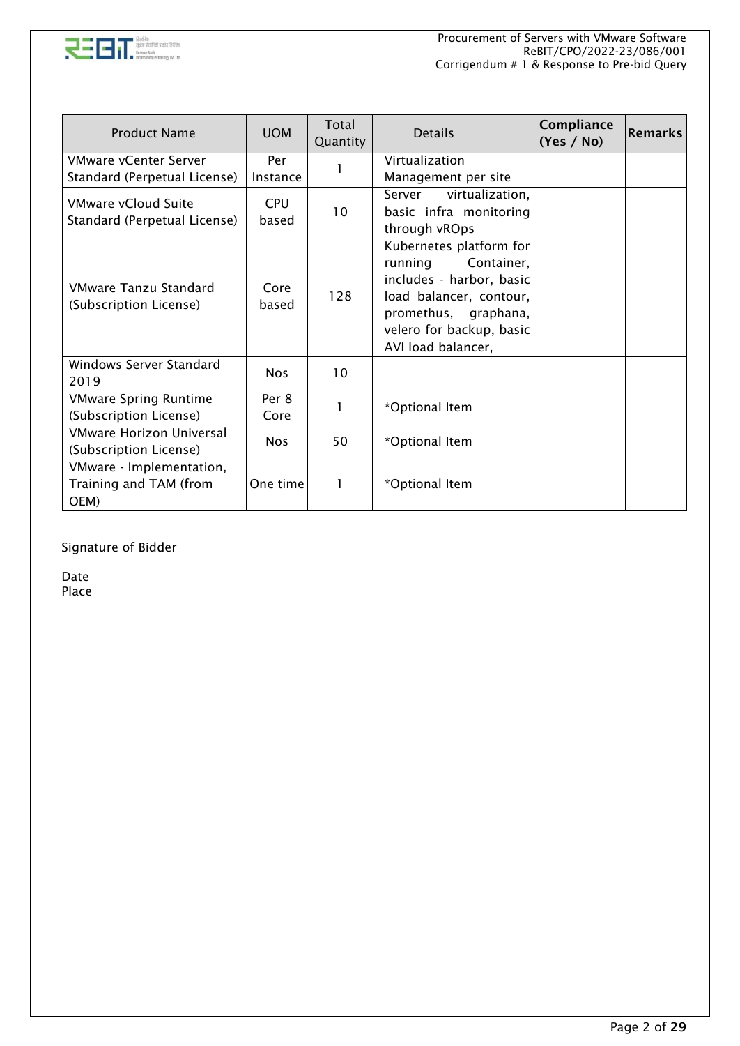

| <b>Product Name</b>                                        | <b>UOM</b>          | Total<br>Quantity | <b>Details</b>                                                                                                                                                                    | Compliance<br>(Yes / No) | <b>Remarks</b> |
|------------------------------------------------------------|---------------------|-------------------|-----------------------------------------------------------------------------------------------------------------------------------------------------------------------------------|--------------------------|----------------|
| <b>VMware vCenter Server</b>                               | Per                 |                   | Virtualization                                                                                                                                                                    |                          |                |
| Standard (Perpetual License)                               | Instance            |                   | Management per site                                                                                                                                                               |                          |                |
| VMware vCloud Suite<br>Standard (Perpetual License)        | <b>CPU</b><br>based | 10                | Server<br>virtualization,<br>basic infra monitoring<br>through vROps                                                                                                              |                          |                |
| VMware Tanzu Standard<br>(Subscription License)            | Core<br>based       | 128               | Kubernetes platform for<br>running<br>Container,<br>includes - harbor, basic<br>load balancer, contour,<br>promethus, graphana,<br>velero for backup, basic<br>AVI load balancer, |                          |                |
| Windows Server Standard<br>2019                            | <b>Nos</b>          | 10                |                                                                                                                                                                                   |                          |                |
| <b>VMware Spring Runtime</b>                               | Per 8               |                   | *Optional Item                                                                                                                                                                    |                          |                |
| (Subscription License)                                     | Core                |                   |                                                                                                                                                                                   |                          |                |
| VMware Horizon Universal<br>(Subscription License)         | <b>Nos</b>          | 50                | *Optional Item                                                                                                                                                                    |                          |                |
| VMware - Implementation,<br>Training and TAM (from<br>OEM) | One time            |                   | *Optional Item                                                                                                                                                                    |                          |                |

Signature of Bidder

Date Place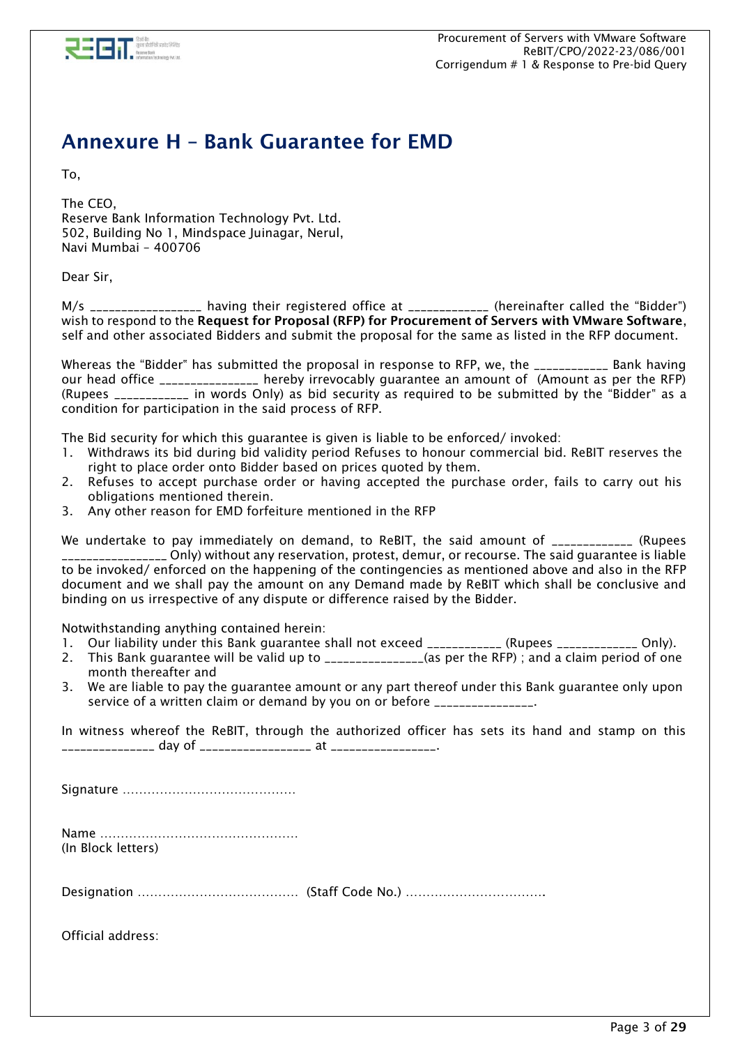

## Annexure H – Bank Guarantee for EMD

To,

The CEO, Reserve Bank Information Technology Pvt. Ltd. 502, Building No 1, Mindspace Juinagar, Nerul, Navi Mumbai – 400706

Dear Sir,

M/s \_\_\_\_\_\_\_\_\_\_\_\_\_\_\_\_\_ having their registered office at \_\_\_\_\_\_\_\_\_\_\_\_\_\_ (hereinafter called the "Bidder") wish to respond to the Request for Proposal (RFP) for Procurement of Servers with VMware Software, self and other associated Bidders and submit the proposal for the same as listed in the RFP document.

Whereas the "Bidder" has submitted the proposal in response to RFP, we, the \_\_\_\_\_\_\_\_\_\_\_\_ Bank having our head office \_\_\_\_\_\_\_\_\_\_\_\_\_\_\_ hereby irrevocably guarantee an amount of (Amount as per the RFP) (Rupees \_\_\_\_\_\_\_\_\_\_\_\_ in words Only) as bid security as required to be submitted by the "Bidder" as a condition for participation in the said process of RFP.

The Bid security for which this guarantee is given is liable to be enforced/ invoked:

- 1. Withdraws its bid during bid validity period Refuses to honour commercial bid. ReBIT reserves the right to place order onto Bidder based on prices quoted by them.
- 2. Refuses to accept purchase order or having accepted the purchase order, fails to carry out his obligations mentioned therein.
- 3. Any other reason for EMD forfeiture mentioned in the RFP

We undertake to pay immediately on demand, to ReBIT, the said amount of \_\_\_\_\_\_\_\_\_\_\_\_\_ (Rupees \_\_\_\_\_\_\_\_\_\_\_\_\_\_\_\_\_ Only) without any reservation, protest, demur, or recourse. The said guarantee is liable to be invoked/ enforced on the happening of the contingencies as mentioned above and also in the RFP document and we shall pay the amount on any Demand made by ReBIT which shall be conclusive and binding on us irrespective of any dispute or difference raised by the Bidder.

Notwithstanding anything contained herein:

- 1. Our liability under this Bank guarantee shall not exceed \_\_\_\_\_\_\_\_\_\_\_\_ (Rupees \_\_\_\_\_\_\_\_\_\_\_\_ Only).
- 2. This Bank guarantee will be valid up to \_\_\_\_\_\_\_\_\_\_\_\_\_\_\_\_(as per the RFP) ; and a claim period of one month thereafter and
- 3. We are liable to pay the guarantee amount or any part thereof under this Bank guarantee only upon service of a written claim or demand by you on or before \_\_\_\_\_\_\_\_\_\_\_\_\_\_\_\_.

In witness whereof the ReBIT, through the authorized officer has sets its hand and stamp on this \_\_\_\_\_\_\_\_\_\_\_\_\_\_\_ day of \_\_\_\_\_\_\_\_\_\_\_\_\_\_\_\_\_\_ at \_\_\_\_\_\_\_\_\_\_\_\_\_\_\_\_\_.

Signature ……………………………………

Name ………………………………………… (In Block letters)

Designation ………………………………… (Staff Code No.) …………………………….

Official address: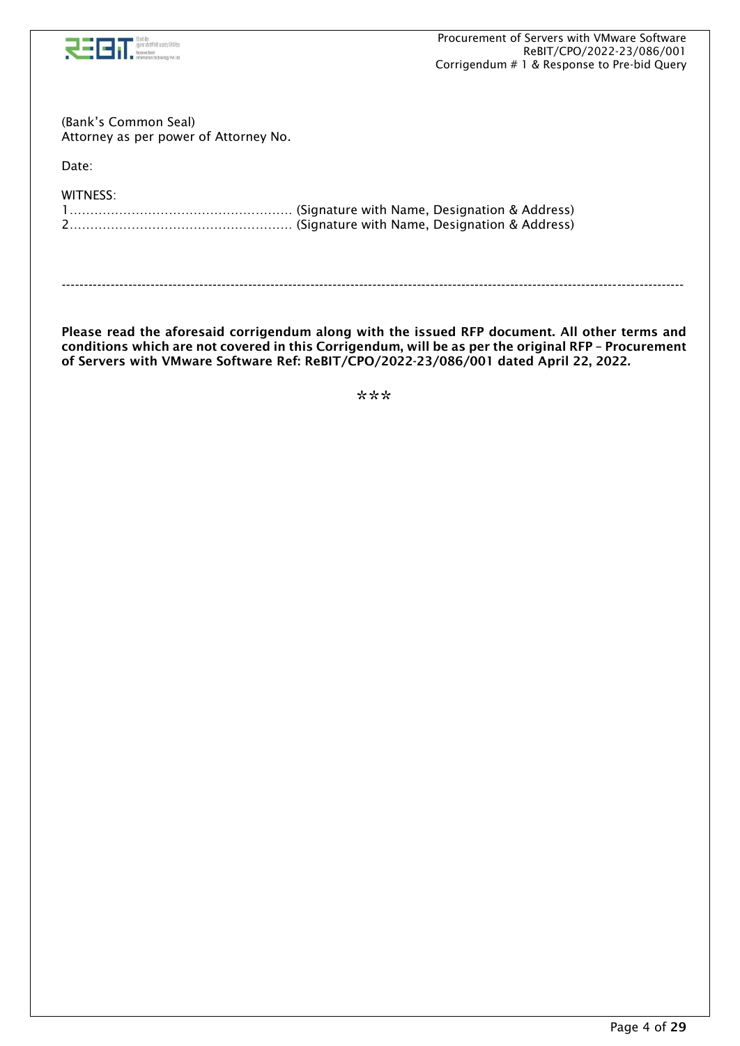

(Bank's Common Seal) Attorney as per power of Attorney No.

Date:

| WITNESS: |  |
|----------|--|
|          |  |
|          |  |

Please read the aforesaid corrigendum along with the issued RFP document. All other terms and conditions which are not covered in this Corrigendum, will be as per the original RFP – Procurement

of Servers with VMware Software Ref: ReBIT/CPO/2022-23/086/001 dated April 22, 2022.

--------------------------------------------------------------------------------------------------------------------------------------------

\*\*\*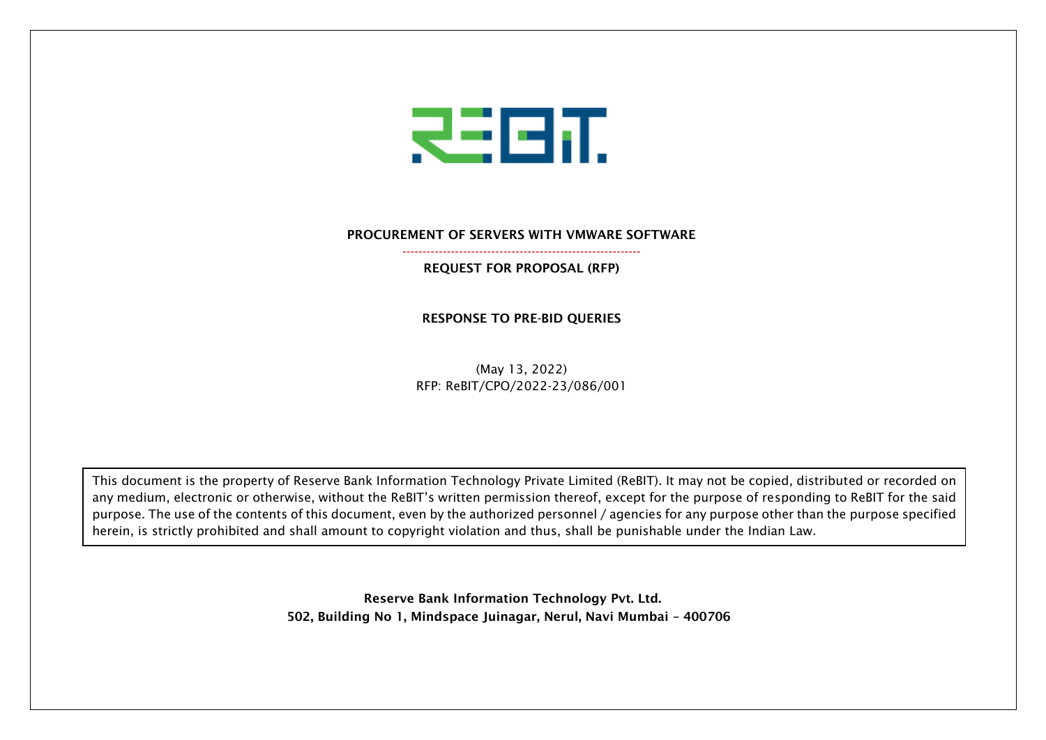

#### PROCUREMENT OF SERVERS WITH VMWARE SOFTWARE -----------------------------------------------------------

REQUEST FOR PROPOSAL (RFP)

RESPONSE TO PRE-BID QUERIES

(May 13, 2022) RFP: ReBIT/CPO/2022-23/086/001

This document is the property of Reserve Bank Information Technology Private Limited (ReBIT). It may not be copied, distributed or recorded on any medium, electronic or otherwise, without the ReBIT's written permission thereof, except for the purpose of responding to ReBIT for the said purpose. The use of the contents of this document, even by the authorized personnel / agencies for any purpose other than the purpose specified herein, is strictly prohibited and shall amount to copyright violation and thus, shall be punishable under the Indian Law.

> Reserve Bank Information Technology Pvt. Ltd. 502, Building No 1, Mindspace Juinagar, Nerul, Navi Mumbai – 400706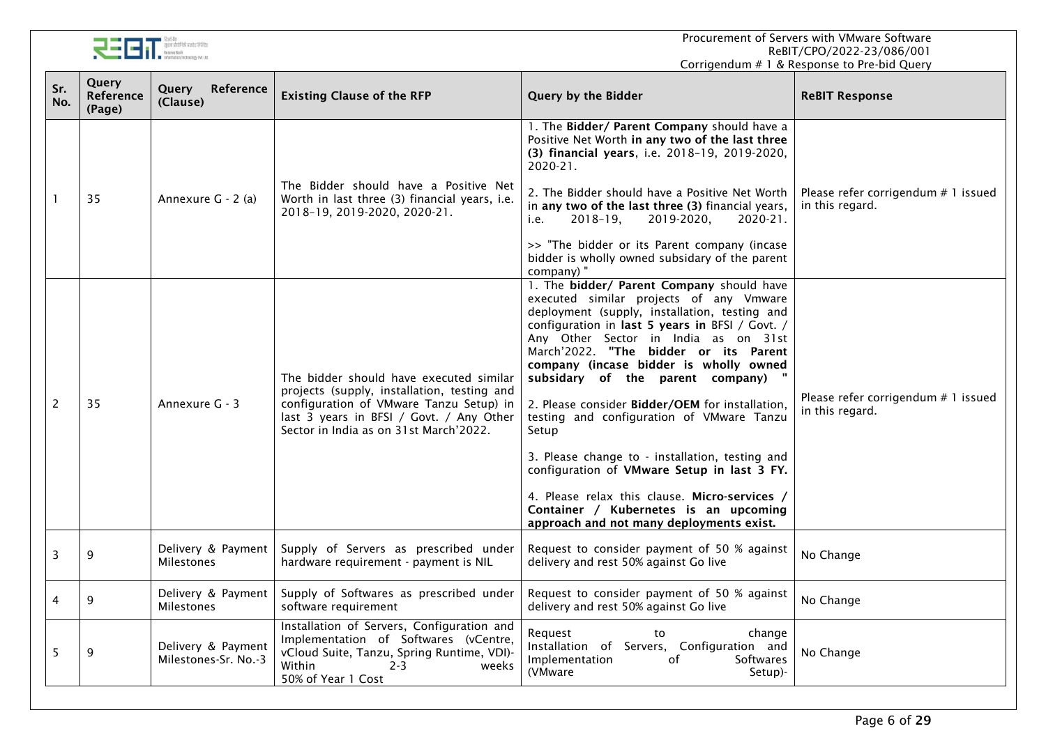Procurement of Servers with VMware Software ReBIT/CPO/2022-23/086/001 Corrigendum # 1 & Response to Pre-bid Query



 $\mathbf{r}$ 

| Sr.<br>No. | Query<br><b>Reference</b><br>(Page) | Reference<br>Query<br>(Clause)             | <b>Existing Clause of the RFP</b>                                                                                                                                                                                       | Query by the Bidder                                                                                                                                                                                                                                                                                                                                                                                                                                                                                                                                                                                                                                                                                      | <b>ReBIT Response</b>                                  |
|------------|-------------------------------------|--------------------------------------------|-------------------------------------------------------------------------------------------------------------------------------------------------------------------------------------------------------------------------|----------------------------------------------------------------------------------------------------------------------------------------------------------------------------------------------------------------------------------------------------------------------------------------------------------------------------------------------------------------------------------------------------------------------------------------------------------------------------------------------------------------------------------------------------------------------------------------------------------------------------------------------------------------------------------------------------------|--------------------------------------------------------|
|            | 35                                  | Annexure G - 2 (a)                         | The Bidder should have a Positive Net<br>Worth in last three (3) financial years, i.e.<br>2018-19, 2019-2020, 2020-21.                                                                                                  | 1. The Bidder/ Parent Company should have a<br>Positive Net Worth in any two of the last three<br>(3) financial years, i.e. 2018-19, 2019-2020,<br>$2020 - 21$ .<br>2. The Bidder should have a Positive Net Worth<br>in any two of the last three (3) financial years,<br>$2018 - 19$ ,<br>2019-2020,<br>$2020 - 21$ .<br>i.e.<br>>> "The bidder or its Parent company (incase<br>bidder is wholly owned subsidary of the parent<br>company) "                                                                                                                                                                                                                                                          | Please refer corrigendum # 1 issued<br>in this regard. |
| 2          | 35                                  | Annexure G - 3                             | The bidder should have executed similar<br>projects (supply, installation, testing and<br>configuration of VMware Tanzu Setup) in<br>last 3 years in BFSI / Govt. / Any Other<br>Sector in India as on 31st March'2022. | 1. The bidder/ Parent Company should have<br>executed similar projects of any Vmware<br>deployment (supply, installation, testing and<br>configuration in last 5 years in BFSI / Govt. /<br>Any Other Sector in India as on 31st<br>March'2022. "The bidder or its Parent<br>company (incase bidder is wholly owned<br>subsidary of the parent company)<br>2. Please consider Bidder/OEM for installation,<br>testing and configuration of VMware Tanzu<br>Setup<br>3. Please change to - installation, testing and<br>configuration of VMware Setup in last 3 FY.<br>4. Please relax this clause. Micro-services /<br>Container / Kubernetes is an upcoming<br>approach and not many deployments exist. | Please refer corrigendum # 1 issued<br>in this regard. |
| 3          | 9                                   | Delivery & Payment<br><b>Milestones</b>    | Supply of Servers as prescribed under<br>hardware requirement - payment is NIL                                                                                                                                          | Request to consider payment of 50 % against<br>delivery and rest 50% against Go live                                                                                                                                                                                                                                                                                                                                                                                                                                                                                                                                                                                                                     | No Change                                              |
| 4          | 9                                   | Delivery & Payment<br><b>Milestones</b>    | Supply of Softwares as prescribed under<br>software requirement                                                                                                                                                         | Request to consider payment of 50 % against<br>delivery and rest 50% against Go live                                                                                                                                                                                                                                                                                                                                                                                                                                                                                                                                                                                                                     | No Change                                              |
| 5          | 9                                   | Delivery & Payment<br>Milestones-Sr. No.-3 | Installation of Servers, Configuration and<br>Implementation of Softwares (vCentre,<br>vCloud Suite, Tanzu, Spring Runtime, VDI)-<br>Within<br>$2 - 3$<br>weeks<br>50% of Year 1 Cost                                   | Reauest<br>to<br>change<br>Installation of Servers, Configuration and<br>Softwares<br>Implementation<br>of<br>(VMware<br>Setup)-                                                                                                                                                                                                                                                                                                                                                                                                                                                                                                                                                                         | No Change                                              |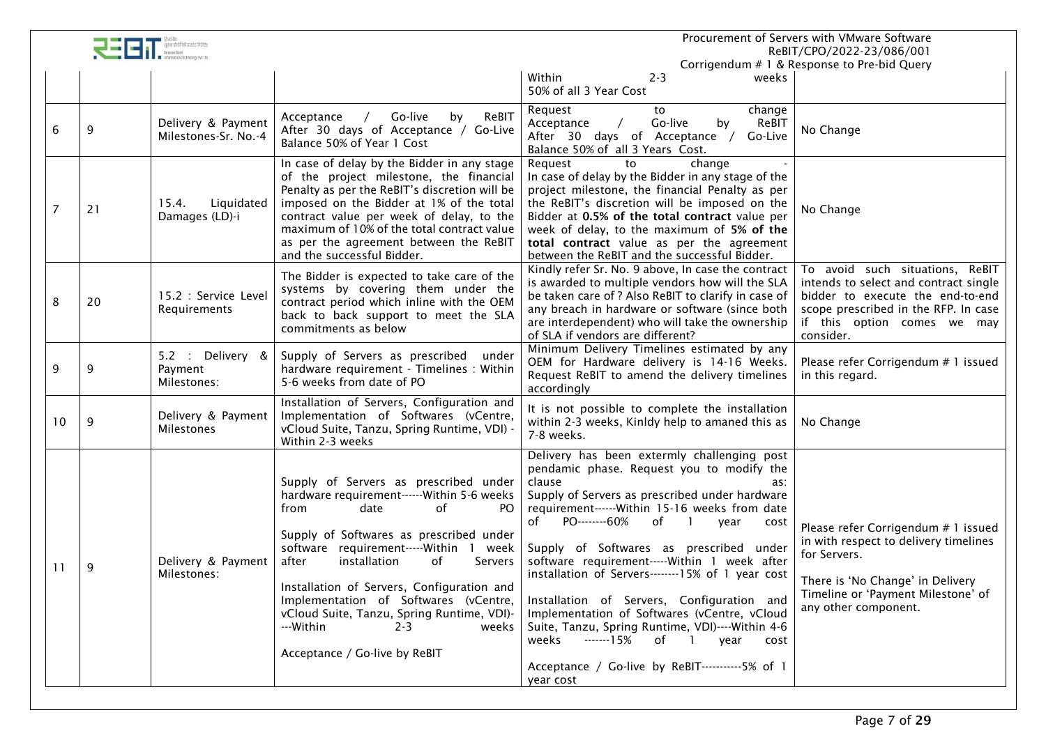|    |    |                                            |                                                                                                                                                                                                                                                                                                                                                                                                                                                           |                                                                                                                                                                                                                                                                                                                                                                                                                                                                                                                                                                                                                                                                                        | Procurement of Servers with VMware Software<br>ReBIT/CPO/2022-23/086/001                                                                                                                         |
|----|----|--------------------------------------------|-----------------------------------------------------------------------------------------------------------------------------------------------------------------------------------------------------------------------------------------------------------------------------------------------------------------------------------------------------------------------------------------------------------------------------------------------------------|----------------------------------------------------------------------------------------------------------------------------------------------------------------------------------------------------------------------------------------------------------------------------------------------------------------------------------------------------------------------------------------------------------------------------------------------------------------------------------------------------------------------------------------------------------------------------------------------------------------------------------------------------------------------------------------|--------------------------------------------------------------------------------------------------------------------------------------------------------------------------------------------------|
|    |    |                                            |                                                                                                                                                                                                                                                                                                                                                                                                                                                           | Within<br>$2 - 3$<br>weeks<br>50% of all 3 Year Cost                                                                                                                                                                                                                                                                                                                                                                                                                                                                                                                                                                                                                                   | Corrigendum # 1 & Response to Pre-bid Query                                                                                                                                                      |
| 6  | 9  | Delivery & Payment<br>Milestones-Sr. No.-4 | / Go-live<br>ReBIT<br>by<br>Acceptance<br>After 30 days of Acceptance / Go-Live<br>Balance 50% of Year 1 Cost                                                                                                                                                                                                                                                                                                                                             | Request<br>to<br>change<br>Go-live<br>ReBIT<br>Acceptance<br>by<br>After 30 days of Acceptance /<br>Go-Live<br>Balance 50% of all 3 Years Cost.                                                                                                                                                                                                                                                                                                                                                                                                                                                                                                                                        | No Change                                                                                                                                                                                        |
|    | 21 | Liquidated<br>15.4.<br>Damages (LD)-i      | In case of delay by the Bidder in any stage<br>of the project milestone, the financial<br>Penalty as per the ReBIT's discretion will be<br>imposed on the Bidder at 1% of the total<br>contract value per week of delay, to the<br>maximum of 10% of the total contract value<br>as per the agreement between the ReBIT<br>and the successful Bidder.                                                                                                     | Request<br>change<br>to<br>In case of delay by the Bidder in any stage of the<br>project milestone, the financial Penalty as per<br>the ReBIT's discretion will be imposed on the<br>Bidder at 0.5% of the total contract value per<br>week of delay, to the maximum of 5% of the<br>total contract value as per the agreement<br>between the ReBIT and the successful Bidder.                                                                                                                                                                                                                                                                                                         | No Change                                                                                                                                                                                        |
| 8  | 20 | 15.2 : Service Level<br>Requirements       | The Bidder is expected to take care of the<br>systems by covering them under the<br>contract period which inline with the OEM<br>back to back support to meet the SLA<br>commitments as below                                                                                                                                                                                                                                                             | Kindly refer Sr. No. 9 above, In case the contract<br>is awarded to multiple vendors how will the SLA<br>be taken care of ? Also ReBIT to clarify in case of<br>any breach in hardware or software (since both<br>are interdependent) who will take the ownership<br>of SLA if vendors are different?                                                                                                                                                                                                                                                                                                                                                                                  | To avoid such situations, ReBIT<br>intends to select and contract single<br>bidder to execute the end-to-end<br>scope prescribed in the RFP. In case<br>if this option comes we may<br>consider. |
| 9  | 9  | 5.2 : Delivery &<br>Payment<br>Milestones: | Supply of Servers as prescribed<br>under<br>hardware requirement - Timelines : Within<br>5-6 weeks from date of PO                                                                                                                                                                                                                                                                                                                                        | Minimum Delivery Timelines estimated by any<br>OEM for Hardware delivery is 14-16 Weeks.<br>Request ReBIT to amend the delivery timelines<br>accordingly                                                                                                                                                                                                                                                                                                                                                                                                                                                                                                                               | Please refer Corrigendum # 1 issued<br>in this regard.                                                                                                                                           |
| 10 | 9  | Delivery & Payment<br>Milestones           | Installation of Servers, Configuration and<br>Implementation of Softwares (vCentre,<br>vCloud Suite, Tanzu, Spring Runtime, VDI) -<br>Within 2-3 weeks                                                                                                                                                                                                                                                                                                    | It is not possible to complete the installation<br>within 2-3 weeks, Kinldy help to amaned this as<br>7-8 weeks.                                                                                                                                                                                                                                                                                                                                                                                                                                                                                                                                                                       | No Change                                                                                                                                                                                        |
| 11 | 9  | Delivery & Payment<br>Milestones:          | Supply of Servers as prescribed under<br>hardware requirement------Within 5-6 weeks<br>from<br>date<br>of<br>PO.<br>Supply of Softwares as prescribed under<br>software requirement-----Within 1<br>week<br>installation<br>after<br>of<br>Servers<br>Installation of Servers, Configuration and<br>Implementation of Softwares (vCentre,<br>vCloud Suite, Tanzu, Spring Runtime, VDI)-<br>---Within<br>$2 - 3$<br>weeks<br>Acceptance / Go-live by ReBIT | Delivery has been extermly challenging post<br>pendamic phase. Request you to modify the<br>clause<br>as:<br>Supply of Servers as prescribed under hardware<br>requirement------ Within 15-16 weeks from date<br>PO--------60%<br>of<br>of<br>$\blacksquare$<br>year<br>cost<br>Supply of Softwares as prescribed under<br>software requirement-----Within 1 week after<br>installation of Servers-------15% of 1 year cost<br>Installation of Servers, Configuration and<br>Implementation of Softwares (vCentre, vCloud<br>Suite, Tanzu, Spring Runtime, VDI)----Within 4-6<br>-------15%<br>weeks<br>of 1 year cost<br>Acceptance / Go-live by ReBIT-----------5% of 1<br>year cost | Please refer Corrigendum # 1 issued<br>in with respect to delivery timelines<br>for Servers.<br>There is 'No Change' in Delivery<br>Timeline or 'Payment Milestone' of<br>any other component.   |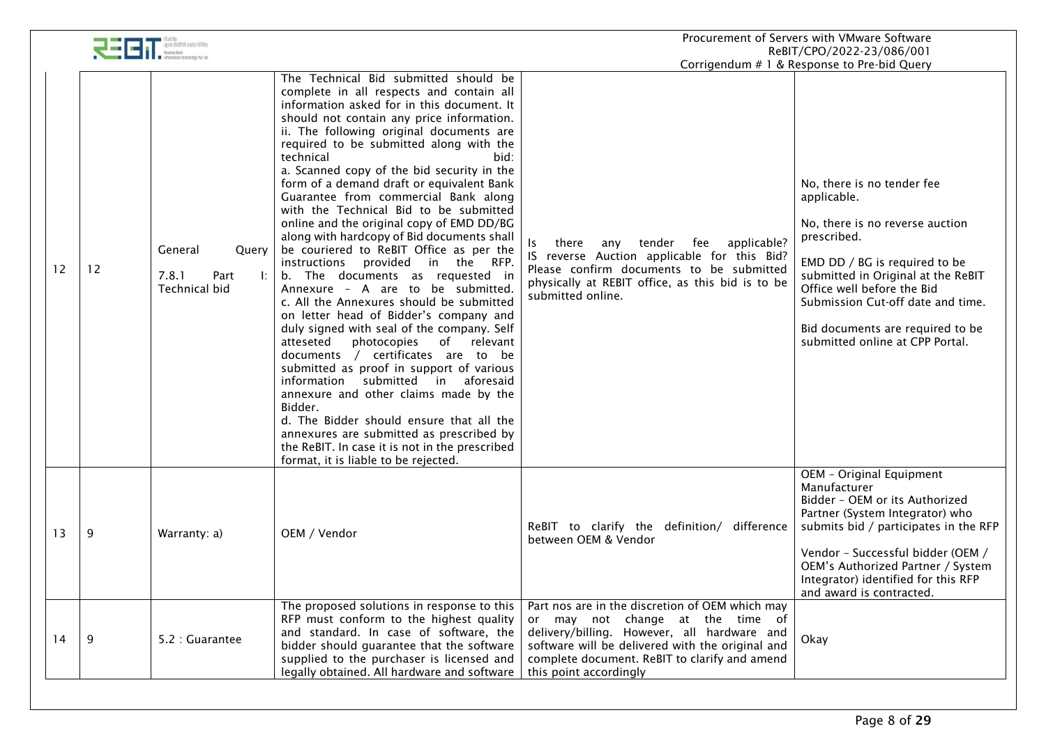|    |    |                                                    |                                                                                                                                                                                                                                                                                                                                                                                                                                                                                                                                                                                                                                                                                                                                                                                                                                                                                                                                                                                                                                                                                                                                                                                                                                                                        |                                                                                                                                                                                                                                                                   | Procurement of Servers with VMware Software<br>ReBIT/CPO/2022-23/086/001                                                                                                                                                                                                                                                                                    |
|----|----|----------------------------------------------------|------------------------------------------------------------------------------------------------------------------------------------------------------------------------------------------------------------------------------------------------------------------------------------------------------------------------------------------------------------------------------------------------------------------------------------------------------------------------------------------------------------------------------------------------------------------------------------------------------------------------------------------------------------------------------------------------------------------------------------------------------------------------------------------------------------------------------------------------------------------------------------------------------------------------------------------------------------------------------------------------------------------------------------------------------------------------------------------------------------------------------------------------------------------------------------------------------------------------------------------------------------------------|-------------------------------------------------------------------------------------------------------------------------------------------------------------------------------------------------------------------------------------------------------------------|-------------------------------------------------------------------------------------------------------------------------------------------------------------------------------------------------------------------------------------------------------------------------------------------------------------------------------------------------------------|
| 12 | 12 | General<br>Query<br>7.8.1<br>Part<br>Technical bid | The Technical Bid submitted should be<br>complete in all respects and contain all<br>information asked for in this document. It<br>should not contain any price information.<br>ii. The following original documents are<br>required to be submitted along with the<br>technical<br>bid:<br>a. Scanned copy of the bid security in the<br>form of a demand draft or equivalent Bank<br>Guarantee from commercial Bank along<br>with the Technical Bid to be submitted<br>online and the original copy of EMD DD/BG<br>along with hardcopy of Bid documents shall<br>be couriered to ReBIT Office as per the<br>instructions provided in the RFP.<br>b. The documents as requested in<br>Annexure - A are to be submitted.<br>c. All the Annexures should be submitted<br>on letter head of Bidder's company and<br>duly signed with seal of the company. Self<br>of relevant<br>atteseted<br>photocopies<br>documents / certificates are to be<br>submitted as proof in support of various<br>information submitted in aforesaid<br>annexure and other claims made by the<br>Bidder.<br>d. The Bidder should ensure that all the<br>annexures are submitted as prescribed by<br>the ReBIT. In case it is not in the prescribed<br>format, it is liable to be rejected. | applicable?<br>tender<br>fee<br>there<br>any<br>Is<br>IS reverse Auction applicable for this Bid?<br>Please confirm documents to be submitted<br>physically at REBIT office, as this bid is to be<br>submitted online.                                            | Corrigendum # 1 & Response to Pre-bid Query<br>No, there is no tender fee<br>applicable.<br>No, there is no reverse auction<br>prescribed.<br>EMD DD / BG is required to be<br>submitted in Original at the ReBIT<br>Office well before the Bid<br>Submission Cut-off date and time.<br>Bid documents are required to be<br>submitted online at CPP Portal. |
| 13 | 9  | Warranty: a)                                       | OEM / Vendor                                                                                                                                                                                                                                                                                                                                                                                                                                                                                                                                                                                                                                                                                                                                                                                                                                                                                                                                                                                                                                                                                                                                                                                                                                                           | ReBIT to clarify the definition/ difference<br>between OEM & Vendor                                                                                                                                                                                               | OEM - Original Equipment<br>Manufacturer<br>Bidder - OEM or its Authorized<br>Partner (System Integrator) who<br>submits bid / participates in the RFP<br>Vendor - Successful bidder (OEM /<br>OEM's Authorized Partner / System<br>Integrator) identified for this RFP<br>and award is contracted.                                                         |
| 14 | 9  | 5.2 : Guarantee                                    | The proposed solutions in response to this<br>RFP must conform to the highest quality<br>and standard. In case of software, the<br>bidder should guarantee that the software<br>supplied to the purchaser is licensed and<br>legally obtained. All hardware and software                                                                                                                                                                                                                                                                                                                                                                                                                                                                                                                                                                                                                                                                                                                                                                                                                                                                                                                                                                                               | Part nos are in the discretion of OEM which may<br>or may not change at the time of<br>delivery/billing. However, all hardware and<br>software will be delivered with the original and<br>complete document. ReBIT to clarify and amend<br>this point accordingly | Okay                                                                                                                                                                                                                                                                                                                                                        |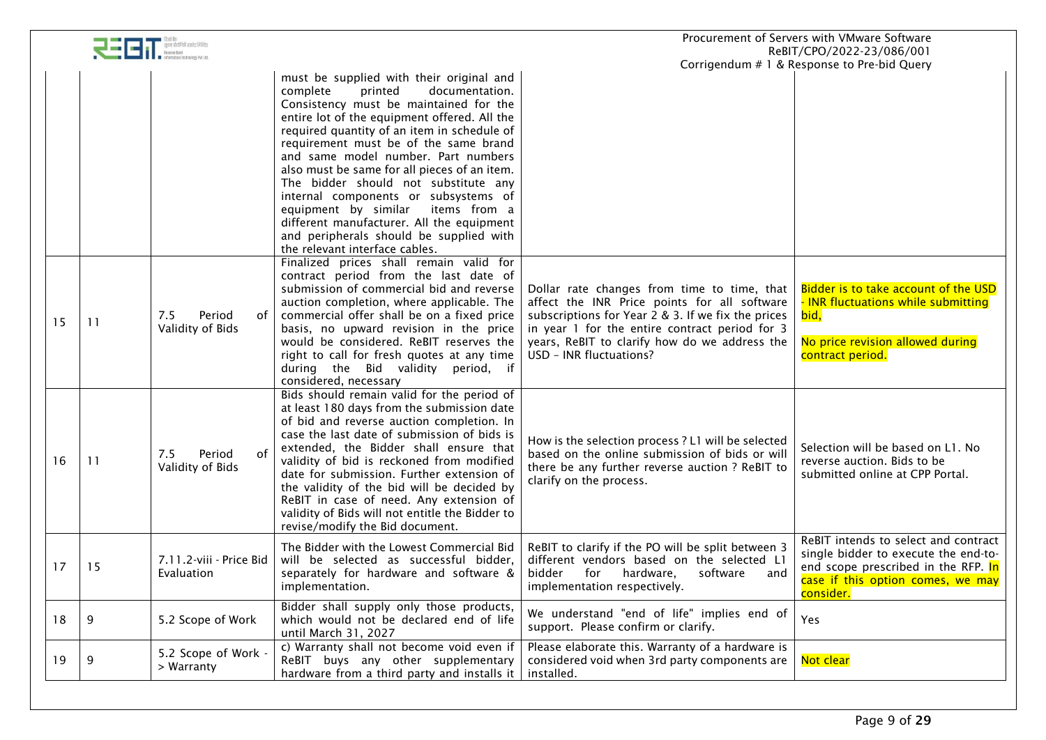|    |     | सुवना प्रौद्योगिकी प्राइवेट लिमिटेड     |                                                                                                                                                                                                                                                                                                                                                                                                                                                                                                                                                                                                              |                                                                                                                                                                                                                                                                                 | Procurement of Servers with VMware Software<br>ReBIT/CPO/2022-23/086/001                                                                                              |
|----|-----|-----------------------------------------|--------------------------------------------------------------------------------------------------------------------------------------------------------------------------------------------------------------------------------------------------------------------------------------------------------------------------------------------------------------------------------------------------------------------------------------------------------------------------------------------------------------------------------------------------------------------------------------------------------------|---------------------------------------------------------------------------------------------------------------------------------------------------------------------------------------------------------------------------------------------------------------------------------|-----------------------------------------------------------------------------------------------------------------------------------------------------------------------|
|    |     |                                         |                                                                                                                                                                                                                                                                                                                                                                                                                                                                                                                                                                                                              |                                                                                                                                                                                                                                                                                 | Corrigendum # 1 & Response to Pre-bid Query                                                                                                                           |
|    |     |                                         | must be supplied with their original and<br>documentation.<br>complete<br>printed<br>Consistency must be maintained for the<br>entire lot of the equipment offered. All the<br>required quantity of an item in schedule of<br>requirement must be of the same brand<br>and same model number. Part numbers<br>also must be same for all pieces of an item.<br>The bidder should not substitute any<br>internal components or subsystems of<br>equipment by similar<br>items from a<br>different manufacturer. All the equipment<br>and peripherals should be supplied with<br>the relevant interface cables. |                                                                                                                                                                                                                                                                                 |                                                                                                                                                                       |
| 15 | -11 | 7.5<br>of<br>Period<br>Validity of Bids | Finalized prices shall remain valid for<br>contract period from the last date of<br>submission of commercial bid and reverse<br>auction completion, where applicable. The<br>commercial offer shall be on a fixed price<br>basis, no upward revision in the price<br>would be considered. ReBIT reserves the<br>right to call for fresh quotes at any time<br>during the Bid validity period, if<br>considered, necessary                                                                                                                                                                                    | Dollar rate changes from time to time, that<br>affect the INR Price points for all software<br>subscriptions for Year 2 & 3. If we fix the prices<br>in year 1 for the entire contract period for 3<br>years, ReBIT to clarify how do we address the<br>USD - INR fluctuations? | Bidder is to take account of the USD<br>- INR fluctuations while submitting<br>bid,<br>No price revision allowed during<br>contract period.                           |
| 16 | 11  | of<br>7.5<br>Period<br>Validity of Bids | Bids should remain valid for the period of<br>at least 180 days from the submission date<br>of bid and reverse auction completion. In<br>case the last date of submission of bids is<br>extended, the Bidder shall ensure that<br>validity of bid is reckoned from modified<br>date for submission. Further extension of<br>the validity of the bid will be decided by<br>ReBIT in case of need. Any extension of<br>validity of Bids will not entitle the Bidder to<br>revise/modify the Bid document.                                                                                                      | How is the selection process ? L1 will be selected<br>based on the online submission of bids or will<br>there be any further reverse auction ? ReBIT to<br>clarify on the process.                                                                                              | Selection will be based on L1. No<br>reverse auction. Bids to be<br>submitted online at CPP Portal.                                                                   |
| 17 | 15  | 7.11.2-viii - Price Bid<br>Evaluation   | The Bidder with the Lowest Commercial Bid<br>will be selected as successful bidder,<br>separately for hardware and software &<br>implementation.                                                                                                                                                                                                                                                                                                                                                                                                                                                             | ReBIT to clarify if the PO will be split between 3<br>different vendors based on the selected L1<br>for hardware,<br>and<br>bidder<br>software<br>implementation respectively.                                                                                                  | ReBIT intends to select and contract<br>single bidder to execute the end-to-<br>end scope prescribed in the RFP. In<br>case if this option comes, we may<br>consider. |
| 18 | 9   | 5.2 Scope of Work                       | Bidder shall supply only those products,<br>which would not be declared end of life<br>until March 31, 2027                                                                                                                                                                                                                                                                                                                                                                                                                                                                                                  | We understand "end of life" implies end of<br>support. Please confirm or clarify.                                                                                                                                                                                               | Yes                                                                                                                                                                   |
| 19 | 9   | 5.2 Scope of Work -<br>> Warranty       | c) Warranty shall not become void even if<br>ReBIT buys any other supplementary<br>hardware from a third party and installs it                                                                                                                                                                                                                                                                                                                                                                                                                                                                               | Please elaborate this. Warranty of a hardware is<br>considered void when 3rd party components are<br>installed.                                                                                                                                                                 | Not clear                                                                                                                                                             |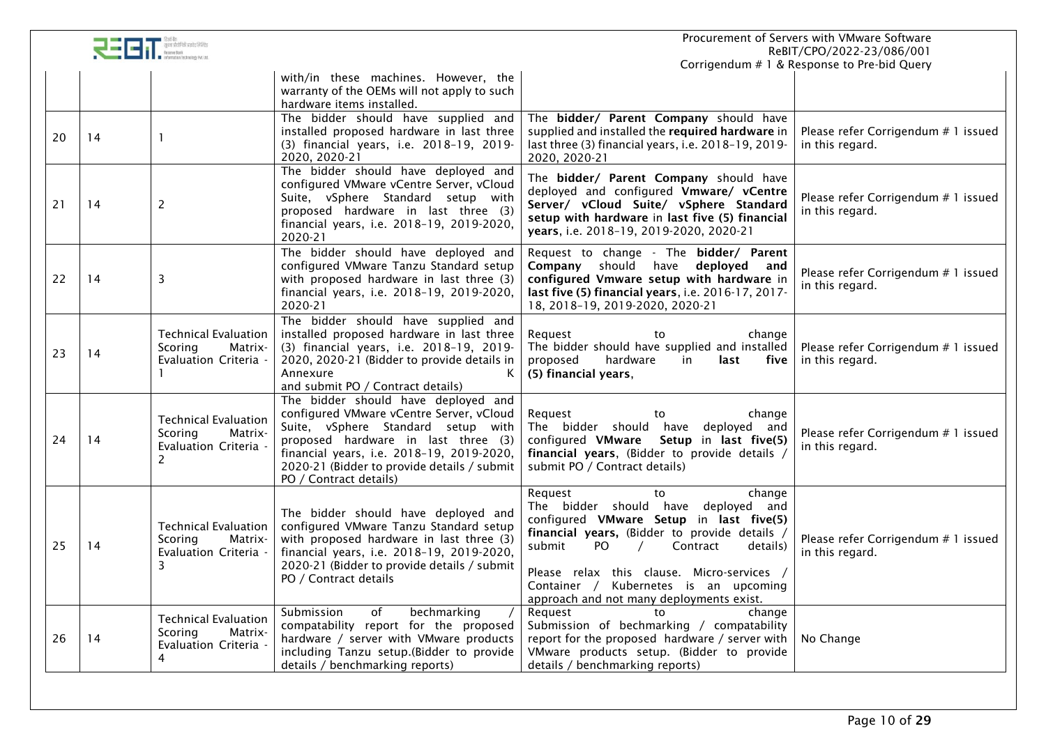|    |    |                                                                                 |                                                                                                                                                                                                                                                                                    |                                                                                                                                                                                                                                                                                                                                       | Procurement of Servers with VMware Software<br>ReBIT/CPO/2022-23/086/001 |
|----|----|---------------------------------------------------------------------------------|------------------------------------------------------------------------------------------------------------------------------------------------------------------------------------------------------------------------------------------------------------------------------------|---------------------------------------------------------------------------------------------------------------------------------------------------------------------------------------------------------------------------------------------------------------------------------------------------------------------------------------|--------------------------------------------------------------------------|
|    |    |                                                                                 | with/in these machines. However, the                                                                                                                                                                                                                                               |                                                                                                                                                                                                                                                                                                                                       | Corrigendum # 1 & Response to Pre-bid Query                              |
|    |    |                                                                                 | warranty of the OEMs will not apply to such<br>hardware items installed.                                                                                                                                                                                                           |                                                                                                                                                                                                                                                                                                                                       |                                                                          |
| 20 | 14 |                                                                                 | The bidder should have supplied and<br>installed proposed hardware in last three<br>(3) financial years, i.e. 2018-19, 2019-<br>2020, 2020-21                                                                                                                                      | The bidder/ Parent Company should have<br>supplied and installed the required hardware in<br>last three (3) financial years, i.e. 2018-19, 2019-<br>2020, 2020-21                                                                                                                                                                     | Please refer Corrigendum # 1 issued<br>in this regard.                   |
| 21 | 14 | 2                                                                               | The bidder should have deployed and<br>configured VMware vCentre Server, vCloud<br>Suite, vSphere Standard setup with<br>proposed hardware in last three (3)<br>financial years, i.e. 2018-19, 2019-2020,<br>2020-21                                                               | The bidder/ Parent Company should have<br>deployed and configured Vmware/ vCentre<br>Server/ vCloud Suite/ vSphere Standard<br>setup with hardware in last five (5) financial<br>years, i.e. 2018-19, 2019-2020, 2020-21                                                                                                              | Please refer Corrigendum # 1 issued<br>in this regard.                   |
| 22 | 14 | 3                                                                               | The bidder should have deployed and<br>configured VMware Tanzu Standard setup<br>with proposed hardware in last three (3)<br>financial years, i.e. 2018-19, 2019-2020,<br>2020-21                                                                                                  | Request to change - The bidder/ Parent<br>Company should have deployed and<br>configured Vmware setup with hardware in<br>last five (5) financial years, i.e. 2016-17, 2017-<br>18, 2018-19, 2019-2020, 2020-21                                                                                                                       | Please refer Corrigendum # 1 issued<br>in this regard.                   |
| 23 | 14 | <b>Technical Evaluation</b><br>Scoring<br>Matrix-<br>Evaluation Criteria -      | The bidder should have supplied and<br>installed proposed hardware in last three<br>(3) financial years, i.e. 2018-19, 2019-<br>2020, 2020-21 (Bidder to provide details in<br>Annexure<br>Κ<br>and submit PO / Contract details)                                                  | Request<br>change<br>to<br>The bidder should have supplied and installed<br>proposed<br>hardware<br>five<br>in<br>last<br>(5) financial years,                                                                                                                                                                                        | Please refer Corrigendum # 1 issued<br>in this regard.                   |
| 24 | 14 | <b>Technical Evaluation</b><br>Scoring<br>Matrix-<br>Evaluation Criteria -<br>2 | The bidder should have deployed and<br>configured VMware vCentre Server, vCloud<br>Suite, vSphere Standard setup with<br>proposed hardware in last three (3)<br>financial years, i.e. 2018-19, 2019-2020,<br>2020-21 (Bidder to provide details / submit<br>PO / Contract details) | Request<br>change<br>to<br>The bidder should have deployed and<br>configured VMware<br>Setup in last five(5)<br>financial years, (Bidder to provide details /<br>submit PO / Contract details)                                                                                                                                        | Please refer Corrigendum # 1 issued<br>in this regard.                   |
| 25 | 14 | <b>Technical Evaluation</b><br>Scoring<br>Matrix-<br>Evaluation Criteria -<br>3 | The bidder should have deployed and<br>configured VMware Tanzu Standard setup<br>with proposed hardware in last three (3)<br>financial years, i.e. 2018-19, 2019-2020,<br>2020-21 (Bidder to provide details / submit<br>PO / Contract details                                     | Request<br>change<br>to<br>The bidder should have deployed and<br>configured VMware Setup in last five(5)<br>financial years, (Bidder to provide details,<br>submit<br>PO.<br>Contract<br>details)<br>Please relax this clause. Micro-services /<br>Container / Kubernetes is an upcoming<br>approach and not many deployments exist. | Please refer Corrigendum # 1 issued<br>in this regard.                   |
| 26 | 14 | <b>Technical Evaluation</b><br>Scoring<br>Matrix-<br>Evaluation Criteria -<br>4 | of<br>Submission<br>bechmarking<br>compatability report for the proposed<br>hardware / server with VMware products<br>including Tanzu setup.(Bidder to provide<br>details / benchmarking reports)                                                                                  | Request<br>to<br>change<br>Submission of bechmarking / compatability<br>report for the proposed hardware / server with<br>VMware products setup. (Bidder to provide<br>details / benchmarking reports)                                                                                                                                | No Change                                                                |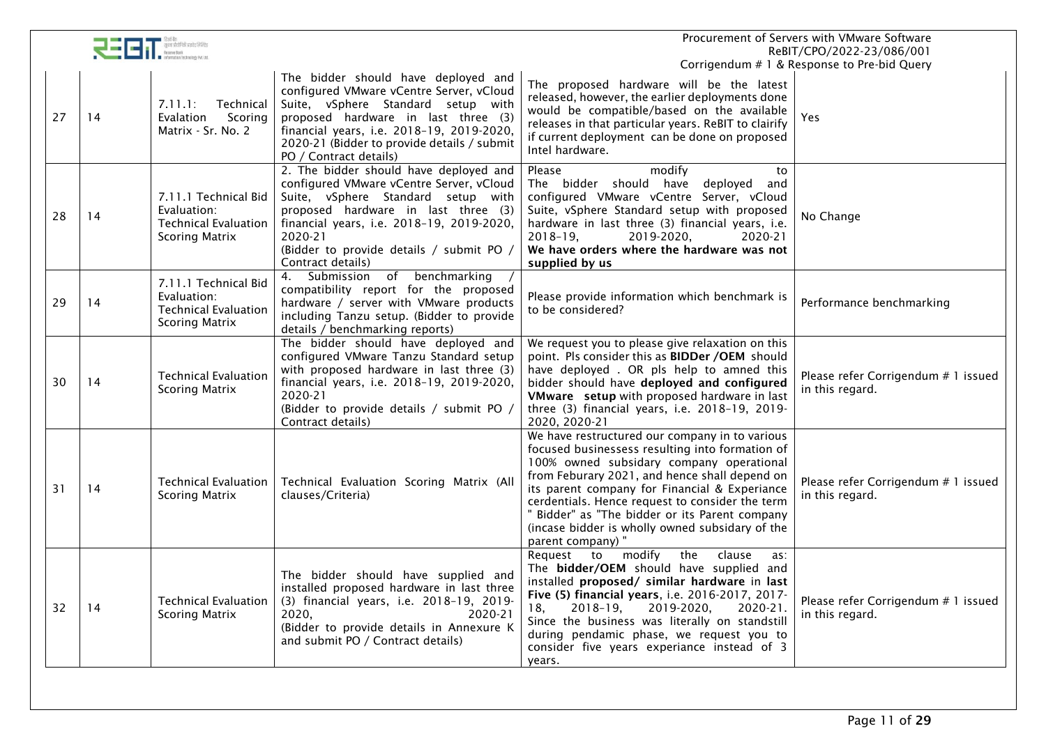|    | $\overline{\mathbf{C}}$ $\overline{\mathbf{C}}$ $\overline{\mathbf{C}}$ $\overline{\mathbf{C}}$ $\overline{\mathbf{C}}$ $\overline{\mathbf{C}}$ $\overline{\mathbf{C}}$ $\overline{\mathbf{C}}$ $\overline{\mathbf{C}}$ $\overline{\mathbf{C}}$ $\overline{\mathbf{C}}$ $\overline{\mathbf{C}}$ $\overline{\mathbf{C}}$ $\overline{\mathbf{C}}$ $\overline{\mathbf{C}}$ $\overline{\mathbf{C}}$ $\overline{\mathbf{C}}$ $\overline{\mathbf{C}}$ $\overline{\$ |                                                                                             |                                                                                                                                                                                                                                                                                          | Procurement of Servers with VMware Software<br>ReBIT/CPO/2022-23/086/001                                                                                                                                                                                                                                                                                                                                                    |                                                        |  |
|----|---------------------------------------------------------------------------------------------------------------------------------------------------------------------------------------------------------------------------------------------------------------------------------------------------------------------------------------------------------------------------------------------------------------------------------------------------------------|---------------------------------------------------------------------------------------------|------------------------------------------------------------------------------------------------------------------------------------------------------------------------------------------------------------------------------------------------------------------------------------------|-----------------------------------------------------------------------------------------------------------------------------------------------------------------------------------------------------------------------------------------------------------------------------------------------------------------------------------------------------------------------------------------------------------------------------|--------------------------------------------------------|--|
|    |                                                                                                                                                                                                                                                                                                                                                                                                                                                               |                                                                                             |                                                                                                                                                                                                                                                                                          |                                                                                                                                                                                                                                                                                                                                                                                                                             | Corrigendum # 1 & Response to Pre-bid Query            |  |
| 27 | 14                                                                                                                                                                                                                                                                                                                                                                                                                                                            | Technical<br>7.11.1:<br>Scoring<br>Evalation<br>Matrix - Sr. No. 2                          | The bidder should have deployed and<br>configured VMware vCentre Server, vCloud<br>Suite, vSphere Standard setup with<br>proposed hardware in last three (3)<br>financial years, i.e. 2018-19, 2019-2020,<br>2020-21 (Bidder to provide details / submit<br>PO / Contract details)       | The proposed hardware will be the latest<br>released, however, the earlier deployments done<br>would be compatible/based on the available<br>releases in that particular years. ReBIT to clairify<br>if current deployment can be done on proposed<br>Intel hardware.                                                                                                                                                       | Yes                                                    |  |
| 28 | 14                                                                                                                                                                                                                                                                                                                                                                                                                                                            | 7.11.1 Technical Bid<br>Evaluation:<br><b>Technical Evaluation</b><br><b>Scoring Matrix</b> | 2. The bidder should have deployed and<br>configured VMware vCentre Server, vCloud<br>Suite, vSphere Standard setup with<br>proposed hardware in last three (3)<br>financial years, i.e. 2018-19, 2019-2020,<br>2020-21<br>(Bidder to provide details / submit PO /<br>Contract details) | Please<br>modify<br>to<br>The bidder should have deployed and<br>configured VMware vCentre Server, vCloud<br>Suite, vSphere Standard setup with proposed<br>hardware in last three (3) financial years, i.e.<br>2019-2020,<br>$2018 - 19$<br>2020-21<br>We have orders where the hardware was not<br>supplied by us                                                                                                         | No Change                                              |  |
| 29 | 14                                                                                                                                                                                                                                                                                                                                                                                                                                                            | 7.11.1 Technical Bid<br>Evaluation:<br><b>Technical Evaluation</b><br><b>Scoring Matrix</b> | Submission of benchmarking<br>4.<br>compatibility report for the proposed<br>hardware / server with VMware products<br>including Tanzu setup. (Bidder to provide<br>details / benchmarking reports)                                                                                      | Please provide information which benchmark is<br>to be considered?                                                                                                                                                                                                                                                                                                                                                          | Performance benchmarking                               |  |
| 30 | 14                                                                                                                                                                                                                                                                                                                                                                                                                                                            | <b>Technical Evaluation</b><br><b>Scoring Matrix</b>                                        | The bidder should have deployed and<br>configured VMware Tanzu Standard setup<br>with proposed hardware in last three (3)<br>financial years, i.e. 2018-19, 2019-2020,<br>2020-21<br>(Bidder to provide details / submit PO /<br>Contract details)                                       | We request you to please give relaxation on this<br>point. Pls consider this as BIDDer /OEM should<br>have deployed . OR pls help to amned this<br>bidder should have deployed and configured<br>VMware setup with proposed hardware in last<br>three (3) financial years, i.e. 2018-19, 2019-<br>2020, 2020-21                                                                                                             | Please refer Corrigendum # 1 issued<br>in this regard. |  |
| 31 | 14                                                                                                                                                                                                                                                                                                                                                                                                                                                            | <b>Technical Evaluation</b><br><b>Scoring Matrix</b>                                        | Technical Evaluation Scoring Matrix (All<br>clauses/Criteria)                                                                                                                                                                                                                            | We have restructured our company in to various<br>focused businessess resulting into formation of<br>100% owned subsidary company operational<br>from Feburary 2021, and hence shall depend on<br>its parent company for Financial & Experiance<br>cerdentials. Hence request to consider the term<br>" Bidder" as "The bidder or its Parent company<br>(incase bidder is wholly owned subsidary of the<br>parent company)" | Please refer Corrigendum # 1 issued<br>in this regard. |  |
| 32 | 14                                                                                                                                                                                                                                                                                                                                                                                                                                                            | <b>Technical Evaluation</b><br><b>Scoring Matrix</b>                                        | The bidder should have supplied and<br>installed proposed hardware in last three<br>(3) financial years, i.e. 2018-19, 2019-<br>2020,<br>2020-21<br>(Bidder to provide details in Annexure K<br>and submit PO / Contract details)                                                        | modify<br>the<br>Request<br>to<br>clause<br>as:<br>The bidder/OEM should have supplied and<br>installed proposed/ similar hardware in last<br>Five (5) financial years, i.e. 2016-2017, 2017-<br>2019-2020,<br>$2018 - 19$<br>2020-21.<br>18.<br>Since the business was literally on standstill<br>during pendamic phase, we request you to<br>consider five years experiance instead of 3<br>years.                        | Please refer Corrigendum # 1 issued<br>in this regard. |  |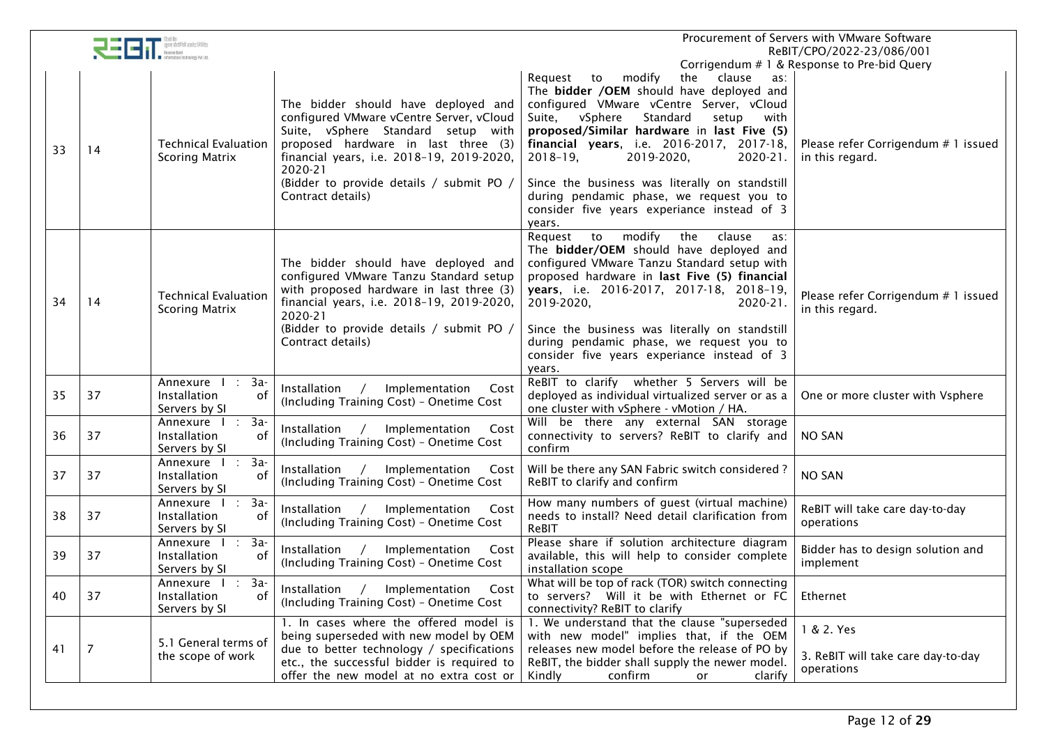|    | $\begin{tabular}{ c c c c } \hline \rule{0pt}{3ex} \rule{0pt}{3ex} \rule{0pt}{3ex} \rule{0pt}{3ex} \rule{0pt}{3ex} \rule{0pt}{3ex} \rule{0pt}{3ex} \rule{0pt}{3ex} \rule{0pt}{3ex} \rule{0pt}{3ex} \rule{0pt}{3ex} \rule{0pt}{3ex} \rule{0pt}{3ex} \rule{0pt}{3ex} \rule{0pt}{3ex} \rule{0pt}{3ex} \rule{0pt}{3ex} \rule{0pt}{3ex} \rule{0pt}{3ex} \rule{0pt}{3ex} \rule{0pt}{3ex} \rule{0pt}{3ex} \rule{$ | Procurement of Servers with VMware Software<br>ReBIT/CPO/2022-23/086/001                  |                                                                                                                                                                                                                                                                                       |                                                                                                                                                                                                                                                                                                                                                                                                                                                                                  |                                                                                                       |
|----|------------------------------------------------------------------------------------------------------------------------------------------------------------------------------------------------------------------------------------------------------------------------------------------------------------------------------------------------------------------------------------------------------------|-------------------------------------------------------------------------------------------|---------------------------------------------------------------------------------------------------------------------------------------------------------------------------------------------------------------------------------------------------------------------------------------|----------------------------------------------------------------------------------------------------------------------------------------------------------------------------------------------------------------------------------------------------------------------------------------------------------------------------------------------------------------------------------------------------------------------------------------------------------------------------------|-------------------------------------------------------------------------------------------------------|
| 33 | 14                                                                                                                                                                                                                                                                                                                                                                                                         | <b>Technical Evaluation</b><br><b>Scoring Matrix</b>                                      | The bidder should have deployed and<br>configured VMware vCentre Server, vCloud<br>Suite, vSphere Standard setup with<br>proposed hardware in last three (3)<br>financial years, i.e. 2018-19, 2019-2020,<br>2020-21<br>(Bidder to provide details / submit PO /<br>Contract details) | Request to<br>modify<br>the clause<br>as:<br>The bidder /OEM should have deployed and<br>configured VMware vCentre Server, vCloud<br>Suite,<br>vSphere<br>Standard<br>with<br>setup<br>proposed/Similar hardware in last Five (5)<br>financial years, i.e. 2016-2017, 2017-18,<br>$2018 - 19$ ,<br>2019-2020,<br>2020-21.<br>Since the business was literally on standstill<br>during pendamic phase, we request you to<br>consider five years experiance instead of 3<br>years. | Corrigendum # 1 & Response to Pre-bid Query<br>Please refer Corrigendum # 1 issued<br>in this regard. |
| 34 | 14                                                                                                                                                                                                                                                                                                                                                                                                         | <b>Technical Evaluation</b><br><b>Scoring Matrix</b>                                      | The bidder should have deployed and<br>configured VMware Tanzu Standard setup<br>with proposed hardware in last three (3)<br>financial years, i.e. 2018-19, 2019-2020,<br>2020-21<br>(Bidder to provide details / submit PO /<br>Contract details)                                    | modify<br>the<br>Request<br>to<br>clause<br>as:<br>The bidder/OEM should have deployed and<br>configured VMware Tanzu Standard setup with<br>proposed hardware in last Five (5) financial<br>years, i.e. 2016-2017, 2017-18, 2018-19,<br>2019-2020,<br>2020-21.<br>Since the business was literally on standstill<br>during pendamic phase, we request you to<br>consider five years experiance instead of 3<br>years.                                                           | Please refer Corrigendum # 1 issued<br>in this regard.                                                |
| 35 | 37                                                                                                                                                                                                                                                                                                                                                                                                         | Annexure I<br>: 3a-<br>Installation<br>0f<br>Servers by SI                                | Installation<br>Implementation<br>Cost<br>(Including Training Cost) - Onetime Cost                                                                                                                                                                                                    | ReBIT to clarify whether 5 Servers will be<br>deployed as individual virtualized server or as a<br>one cluster with vSphere - vMotion / HA.                                                                                                                                                                                                                                                                                                                                      | One or more cluster with Vsphere                                                                      |
| 36 | 37                                                                                                                                                                                                                                                                                                                                                                                                         | $3a-$<br>Annexure I<br>$\pm$<br>of<br>Installation<br>Servers by SI                       | Installation /<br>Implementation<br>Cost<br>(Including Training Cost) - Onetime Cost                                                                                                                                                                                                  | Will be there any external SAN storage<br>connectivity to servers? ReBIT to clarify and<br>confirm                                                                                                                                                                                                                                                                                                                                                                               | <b>NO SAN</b>                                                                                         |
| 37 | 37                                                                                                                                                                                                                                                                                                                                                                                                         | Annexure I<br>$3a-$<br>$\mathcal{L}^{\mathcal{L}}$<br>Installation<br>of<br>Servers by SI | Installation /<br>Implementation<br>Cost<br>(Including Training Cost) - Onetime Cost                                                                                                                                                                                                  | Will be there any SAN Fabric switch considered?<br>ReBIT to clarify and confirm                                                                                                                                                                                                                                                                                                                                                                                                  | <b>NO SAN</b>                                                                                         |
| 38 | 37                                                                                                                                                                                                                                                                                                                                                                                                         | Annexure I :<br>$3a-$<br>Installation<br>of<br>Servers by SI                              | Installation<br>Implementation<br>Cost<br>(Including Training Cost) - Onetime Cost                                                                                                                                                                                                    | How many numbers of guest (virtual machine)<br>needs to install? Need detail clarification from<br>ReBIT                                                                                                                                                                                                                                                                                                                                                                         | ReBIT will take care day-to-day<br>operations                                                         |
| 39 | 37                                                                                                                                                                                                                                                                                                                                                                                                         | $: 3a-$<br>Annexure I<br>Installation<br>of<br>Servers by SI                              | Installation<br>Implementation<br>$\sqrt{2}$<br>Cost<br>(Including Training Cost) - Onetime Cost                                                                                                                                                                                      | Please share if solution architecture diagram<br>available, this will help to consider complete<br>installation scope                                                                                                                                                                                                                                                                                                                                                            | Bidder has to design solution and<br>implement                                                        |
| 40 | 37                                                                                                                                                                                                                                                                                                                                                                                                         | 3a-<br>Annexure I<br>÷.<br>of<br>Installation<br>Servers by SI                            | Installation / Implementation Cost<br>(Including Training Cost) - Onetime Cost                                                                                                                                                                                                        | What will be top of rack (TOR) switch connecting<br>to servers? Will it be with Ethernet or FC<br>connectivity? ReBIT to clarify                                                                                                                                                                                                                                                                                                                                                 | Ethernet                                                                                              |
| 41 | 7                                                                                                                                                                                                                                                                                                                                                                                                          | 5.1 General terms of<br>the scope of work                                                 | 1. In cases where the offered model is<br>being superseded with new model by OEM<br>due to better technology / specifications<br>etc., the successful bidder is required to<br>offer the new model at no extra cost or                                                                | 1. We understand that the clause "superseded<br>with new model" implies that, if the OEM<br>releases new model before the release of PO by<br>ReBIT, the bidder shall supply the newer model.<br>Kindly<br>confirm<br>clarify<br>or                                                                                                                                                                                                                                              | 1 & 2. Yes<br>3. ReBIT will take care day-to-day<br>operations                                        |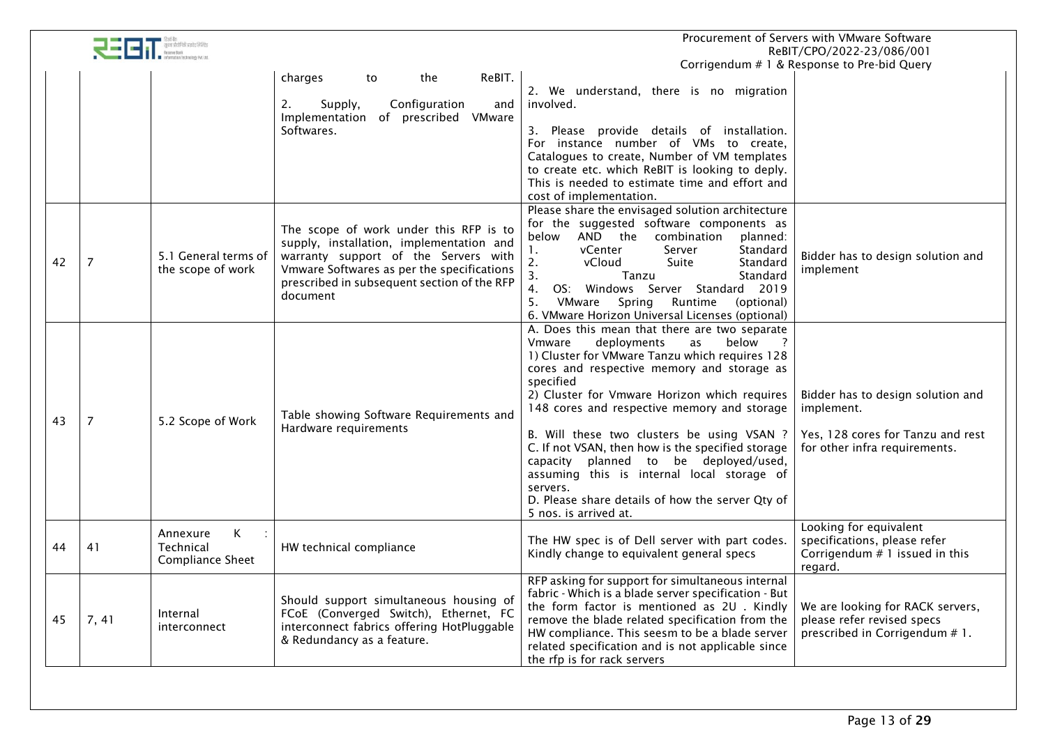|    | Procurement of Servers with VMware Software<br>ReBIT/CPO/2022-23/086/001 |                                                       |                                                                                                                                                                                                                                     |                                                                                                                                                                                                                                                                                                                                                                                                                                                                                                                                                                                      |                                                                                                                       |
|----|--------------------------------------------------------------------------|-------------------------------------------------------|-------------------------------------------------------------------------------------------------------------------------------------------------------------------------------------------------------------------------------------|--------------------------------------------------------------------------------------------------------------------------------------------------------------------------------------------------------------------------------------------------------------------------------------------------------------------------------------------------------------------------------------------------------------------------------------------------------------------------------------------------------------------------------------------------------------------------------------|-----------------------------------------------------------------------------------------------------------------------|
|    |                                                                          |                                                       |                                                                                                                                                                                                                                     |                                                                                                                                                                                                                                                                                                                                                                                                                                                                                                                                                                                      | Corrigendum # 1 & Response to Pre-bid Query                                                                           |
|    |                                                                          |                                                       | ReBIT.<br>charges<br>the<br>to<br>Configuration<br>Supply,<br>and<br>2.<br>Implementation of prescribed VMware<br>Softwares.                                                                                                        | 2. We understand, there is no migration<br>involved.<br>3. Please provide details of installation.<br>For instance number of VMs to create,<br>Catalogues to create, Number of VM templates<br>to create etc. which ReBIT is looking to deply.<br>This is needed to estimate time and effort and<br>cost of implementation.                                                                                                                                                                                                                                                          |                                                                                                                       |
| 42 | 7                                                                        | 5.1 General terms of<br>the scope of work             | The scope of work under this RFP is to<br>supply, installation, implementation and<br>warranty support of the Servers with<br>Vmware Softwares as per the specifications<br>prescribed in subsequent section of the RFP<br>document | Please share the envisaged solution architecture<br>for the suggested software components as<br>AND the combination<br>planned:<br>below<br>vCenter<br>Server<br>Standard<br>1.<br>2.<br>vCloud<br>Standard<br>Suite<br>3.<br>Standard<br>Tanzu<br>4.<br>OS: Windows Server Standard 2019<br>5.<br>VMware<br>Spring<br>Runtime<br>(optional)<br>6. VMware Horizon Universal Licenses (optional)                                                                                                                                                                                      | Bidder has to design solution and<br>implement                                                                        |
| 43 | $\overline{7}$                                                           | 5.2 Scope of Work                                     | Table showing Software Requirements and<br>Hardware requirements                                                                                                                                                                    | A. Does this mean that there are two separate<br>Vmware<br>deployments<br>below<br>as<br>1) Cluster for VMware Tanzu which requires 128<br>cores and respective memory and storage as<br>specified<br>2) Cluster for Vmware Horizon which requires<br>148 cores and respective memory and storage<br>B. Will these two clusters be using VSAN ?<br>C. If not VSAN, then how is the specified storage<br>capacity planned to be deployed/used,<br>assuming this is internal local storage of<br>servers.<br>D. Please share details of how the server Qty of<br>5 nos. is arrived at. | Bidder has to design solution and<br>implement.<br>Yes, 128 cores for Tanzu and rest<br>for other infra requirements. |
| 44 | 41                                                                       | K<br>Annexure<br>Technical<br><b>Compliance Sheet</b> | HW technical compliance                                                                                                                                                                                                             | The HW spec is of Dell server with part codes.<br>Kindly change to equivalent general specs                                                                                                                                                                                                                                                                                                                                                                                                                                                                                          | Looking for equivalent<br>specifications, please refer<br>Corrigendum $# 1$ issued in this<br>regard.                 |
| 45 | 7, 41                                                                    | Internal<br>interconnect                              | Should support simultaneous housing of<br>FCoE (Converged Switch), Ethernet, FC<br>interconnect fabrics offering HotPluggable<br>& Redundancy as a feature.                                                                         | RFP asking for support for simultaneous internal<br>fabric - Which is a blade server specification - But<br>the form factor is mentioned as 2U. Kindly<br>remove the blade related specification from the<br>HW compliance. This seesm to be a blade server<br>related specification and is not applicable since<br>the rfp is for rack servers                                                                                                                                                                                                                                      | We are looking for RACK servers,<br>please refer revised specs<br>prescribed in Corrigendum # 1.                      |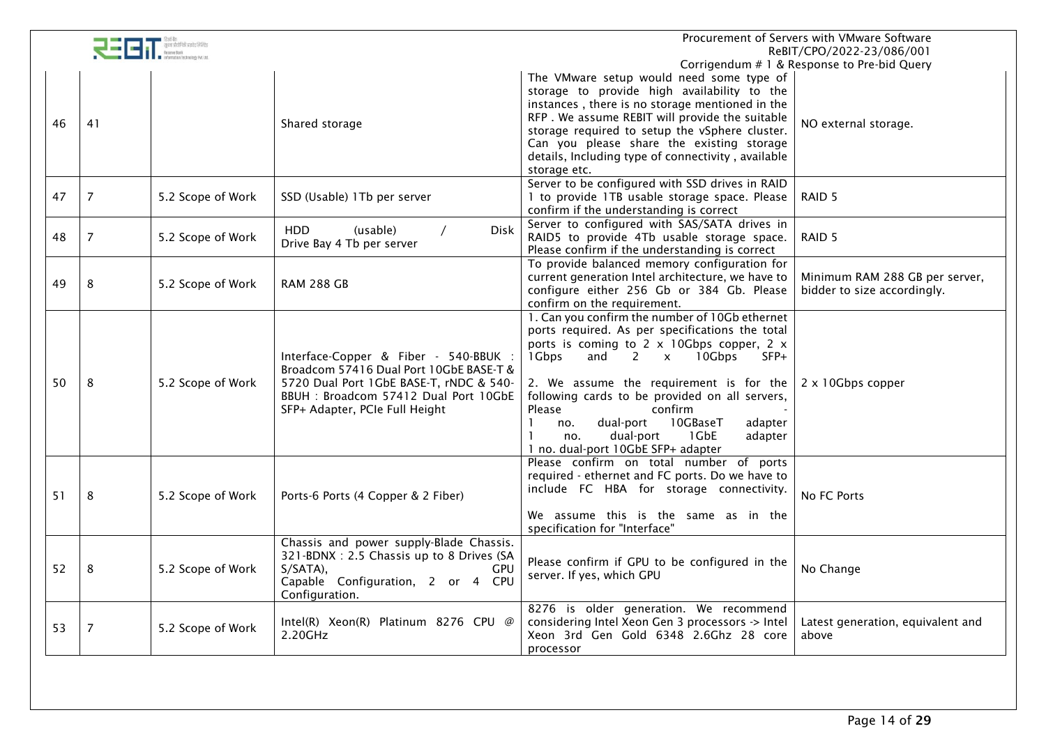|    | Procurement of Servers with VMware Software<br>ReBIT/CPO/2022-23/086/001 |                   |                                          |                                                                   |                                             |
|----|--------------------------------------------------------------------------|-------------------|------------------------------------------|-------------------------------------------------------------------|---------------------------------------------|
|    |                                                                          |                   |                                          |                                                                   | Corrigendum # 1 & Response to Pre-bid Query |
|    |                                                                          |                   |                                          | The VMware setup would need some type of                          |                                             |
|    |                                                                          |                   |                                          | storage to provide high availability to the                       |                                             |
|    |                                                                          |                   |                                          | instances, there is no storage mentioned in the                   |                                             |
|    |                                                                          |                   |                                          | RFP. We assume REBIT will provide the suitable                    |                                             |
| 46 | 41                                                                       |                   | Shared storage                           | storage required to setup the vSphere cluster.                    | NO external storage.                        |
|    |                                                                          |                   |                                          | Can you please share the existing storage                         |                                             |
|    |                                                                          |                   |                                          | details, Including type of connectivity, available                |                                             |
|    |                                                                          |                   |                                          | storage etc.                                                      |                                             |
|    |                                                                          |                   |                                          | Server to be configured with SSD drives in RAID                   |                                             |
|    |                                                                          |                   |                                          |                                                                   |                                             |
| 47 | $\overline{7}$                                                           | 5.2 Scope of Work | SSD (Usable) 1Tb per server              | 1 to provide 1TB usable storage space. Please                     | RAID <sub>5</sub>                           |
|    |                                                                          |                   |                                          | confirm if the understanding is correct                           |                                             |
|    |                                                                          |                   | Disk<br>HDD<br>(usable)                  | Server to configured with SAS/SATA drives in                      |                                             |
| 48 | $\overline{7}$                                                           | 5.2 Scope of Work | Drive Bay 4 Tb per server                | RAID5 to provide 4Tb usable storage space.                        | RAID <sub>5</sub>                           |
|    |                                                                          |                   |                                          | Please confirm if the understanding is correct                    |                                             |
|    |                                                                          |                   |                                          | To provide balanced memory configuration for                      |                                             |
|    |                                                                          |                   |                                          | current generation Intel architecture, we have to                 | Minimum RAM 288 GB per server,              |
| 49 | 8                                                                        | 5.2 Scope of Work | <b>RAM 288 GB</b>                        | configure either 256 Gb or 384 Gb. Please                         | bidder to size accordingly.                 |
|    |                                                                          |                   |                                          | confirm on the requirement.                                       |                                             |
|    |                                                                          |                   |                                          | 1. Can you confirm the number of 10Gb ethernet                    |                                             |
|    |                                                                          |                   |                                          |                                                                   |                                             |
|    |                                                                          |                   |                                          | ports required. As per specifications the total                   |                                             |
|    |                                                                          |                   |                                          | ports is coming to 2 x 10Gbps copper, 2 x                         |                                             |
|    |                                                                          |                   | Interface-Copper & Fiber - 540-BBUK :    | 1 Gbps<br>and<br>$\overline{2}$<br>$\mathsf{x}$<br>10Gbps<br>SFP+ |                                             |
|    |                                                                          |                   | Broadcom 57416 Dual Port 10GbE BASE-T &  |                                                                   |                                             |
| 50 | 8                                                                        | 5.2 Scope of Work | 5720 Dual Port 1GbE BASE-T, rNDC & 540-  | 2. We assume the requirement is for the                           | $2 \times 10$ Gbps copper                   |
|    |                                                                          |                   | BBUH: Broadcom 57412 Dual Port 10GbE     | following cards to be provided on all servers,                    |                                             |
|    |                                                                          |                   | SFP+ Adapter, PCIe Full Height           | confirm<br>Please                                                 |                                             |
|    |                                                                          |                   |                                          | dual-port<br>10GBaseT<br>$\mathbf{1}$<br>adapter<br>no.           |                                             |
|    |                                                                          |                   |                                          | 1GbE<br>$\mathbf{1}$<br>dual-port<br>adapter<br>no.               |                                             |
|    |                                                                          |                   |                                          | 1 no. dual-port 10GbE SFP+ adapter                                |                                             |
|    |                                                                          |                   |                                          | Please confirm on total number of ports                           |                                             |
|    |                                                                          |                   |                                          | required - ethernet and FC ports. Do we have to                   |                                             |
|    |                                                                          |                   |                                          | include FC HBA for storage connectivity.                          |                                             |
| 51 | 8                                                                        | 5.2 Scope of Work | Ports-6 Ports (4 Copper & 2 Fiber)       |                                                                   | No FC Ports                                 |
|    |                                                                          |                   |                                          |                                                                   |                                             |
|    |                                                                          |                   |                                          | We assume this is the same as in the                              |                                             |
|    |                                                                          |                   |                                          | specification for "Interface"                                     |                                             |
|    |                                                                          |                   | Chassis and power supply-Blade Chassis.  |                                                                   |                                             |
|    |                                                                          |                   | 321-BDNX: 2.5 Chassis up to 8 Drives (SA | Please confirm if GPU to be configured in the                     |                                             |
| 52 | 8                                                                        | 5.2 Scope of Work | $S/SATA$ ),<br><b>GPU</b>                | server. If yes, which GPU                                         | No Change                                   |
|    |                                                                          |                   | Capable Configuration, 2 or 4 CPU        |                                                                   |                                             |
|    |                                                                          |                   | Configuration.                           |                                                                   |                                             |
|    |                                                                          |                   |                                          | 8276 is older generation. We recommend                            |                                             |
|    |                                                                          |                   | Intel(R) Xeon(R) Platinum 8276 CPU @     | considering Intel Xeon Gen 3 processors -> Intel                  | Latest generation, equivalent and           |
| 53 | $\overline{7}$                                                           | 5.2 Scope of Work | 2.20GHz                                  | Xeon 3rd Gen Gold 6348 2.6Ghz 28 core                             | above                                       |
|    |                                                                          |                   |                                          | processor                                                         |                                             |
|    |                                                                          |                   |                                          |                                                                   |                                             |
|    |                                                                          |                   |                                          |                                                                   |                                             |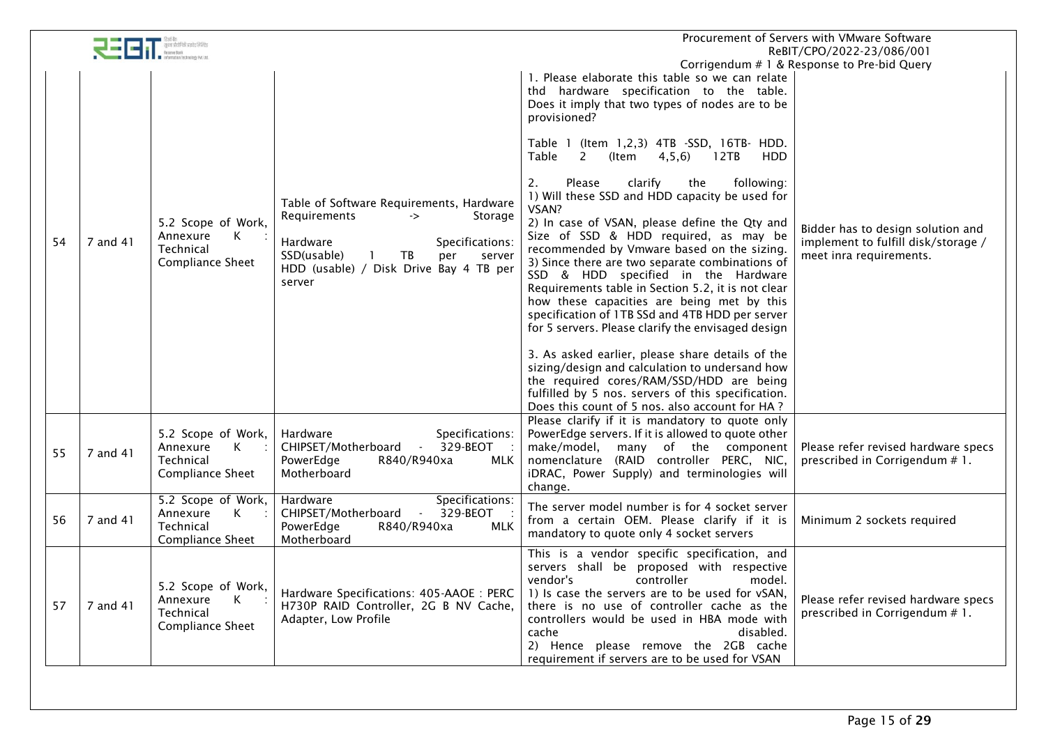|    |          |                                                                                        |                                                                                                                                                                                                    | Procurement of Servers with VMware Software<br>ReBIT/CPO/2022-23/086/001                                                                                                                                                                                                                                                                                                                                                                                                                                                                                                                                                                                                                                                                                                                                         |                                                                                                     |  |
|----|----------|----------------------------------------------------------------------------------------|----------------------------------------------------------------------------------------------------------------------------------------------------------------------------------------------------|------------------------------------------------------------------------------------------------------------------------------------------------------------------------------------------------------------------------------------------------------------------------------------------------------------------------------------------------------------------------------------------------------------------------------------------------------------------------------------------------------------------------------------------------------------------------------------------------------------------------------------------------------------------------------------------------------------------------------------------------------------------------------------------------------------------|-----------------------------------------------------------------------------------------------------|--|
|    |          |                                                                                        |                                                                                                                                                                                                    | 1. Please elaborate this table so we can relate<br>thd hardware specification to the table.<br>Does it imply that two types of nodes are to be<br>provisioned?<br>Table 1 (Item 1,2,3) 4TB -SSD, 16TB- HDD.                                                                                                                                                                                                                                                                                                                                                                                                                                                                                                                                                                                                      | Corrigendum # 1 & Response to Pre-bid Query                                                         |  |
| 54 | 7 and 41 | 5.2 Scope of Work,<br>Annexure<br>$\mathsf{K}$<br>Technical<br><b>Compliance Sheet</b> | Table of Software Requirements, Hardware<br>Requirements<br>Storage<br>-><br>Specifications:<br>Hardware<br>SSD(usable)<br>TB<br>per<br>server<br>HDD (usable) / Disk Drive Bay 4 TB per<br>server | Table<br>4, 5, 6)<br>HDD<br>2<br>(Item<br>12TB<br>2.<br>Please<br>clarify<br>following:<br>the<br>1) Will these SSD and HDD capacity be used for<br>VSAN?<br>2) In case of VSAN, please define the Qty and<br>Size of SSD & HDD required, as may be<br>recommended by Vmware based on the sizing.<br>3) Since there are two separate combinations of<br>SSD & HDD specified in the Hardware<br>Requirements table in Section 5.2, it is not clear<br>how these capacities are being met by this<br>specification of 1TB SSd and 4TB HDD per server<br>for 5 servers. Please clarify the envisaged design<br>3. As asked earlier, please share details of the<br>sizing/design and calculation to undersand how<br>the required cores/RAM/SSD/HDD are being<br>fulfilled by 5 nos. servers of this specification. | Bidder has to design solution and<br>implement to fulfill disk/storage /<br>meet inra requirements. |  |
| 55 | 7 and 41 | 5.2 Scope of Work,<br>Annexure<br>K<br>Technical<br>Compliance Sheet                   | Specifications:<br>Hardware<br>$\mathcal{L}_{\mathcal{A}}$<br>329-BEOT<br>CHIPSET/Motherboard<br>PowerEdge<br>R840/R940xa<br><b>MLK</b><br>Motherboard                                             | Does this count of 5 nos. also account for HA?<br>Please clarify if it is mandatory to quote only<br>PowerEdge servers. If it is allowed to quote other<br>make/model,<br>many of the component<br>nomenclature (RAID controller PERC, NIC,<br>iDRAC, Power Supply) and terminologies will<br>change.                                                                                                                                                                                                                                                                                                                                                                                                                                                                                                            | Please refer revised hardware specs<br>prescribed in Corrigendum # 1.                               |  |
| 56 | 7 and 41 | 5.2 Scope of Work,<br>Annexure<br>K<br>Technical<br><b>Compliance Sheet</b>            | Hardware<br>Specifications:<br>$\sim$ $\sim$<br>329-BEOT<br>CHIPSET/Motherboard<br><b>MLK</b><br>PowerEdge<br>R840/R940xa<br>Motherboard                                                           | The server model number is for 4 socket server<br>from a certain OEM. Please clarify if it is<br>mandatory to quote only 4 socket servers                                                                                                                                                                                                                                                                                                                                                                                                                                                                                                                                                                                                                                                                        | Minimum 2 sockets required                                                                          |  |
| 57 | 7 and 41 | 5.2 Scope of Work,<br>К<br>Annexure<br>Technical<br><b>Compliance Sheet</b>            | Hardware Specifications: 405-AAOE: PERC<br>H730P RAID Controller, 2G B NV Cache,<br>Adapter, Low Profile                                                                                           | This is a vendor specific specification, and<br>servers shall be proposed with respective<br>vendor's<br>controller<br>model.<br>1) Is case the servers are to be used for vSAN,<br>there is no use of controller cache as the<br>controllers would be used in HBA mode with<br>cache<br>disabled.<br>2) Hence please remove the 2GB cache<br>requirement if servers are to be used for VSAN                                                                                                                                                                                                                                                                                                                                                                                                                     | Please refer revised hardware specs<br>prescribed in Corrigendum # 1.                               |  |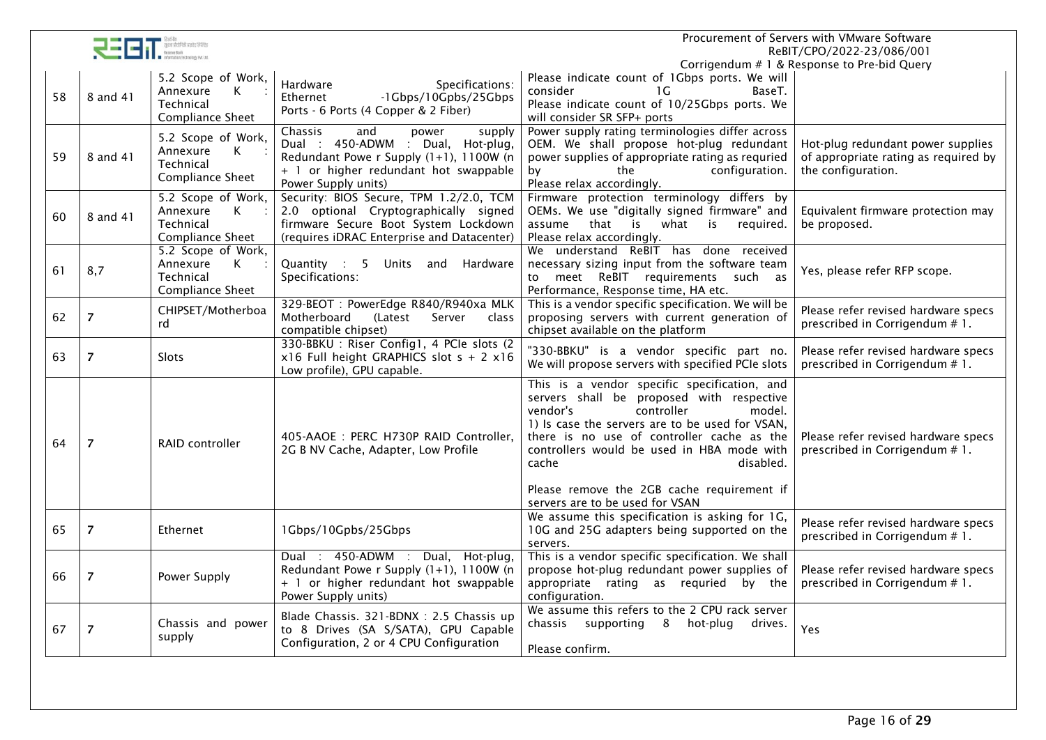|    |                |                                                                             |                                                                                                                                                                                   |                                                                                                                                                                                                                                                                                                                                                                                     | Procurement of Servers with VMware Software<br>ReBIT/CPO/2022-23/086/001                        |
|----|----------------|-----------------------------------------------------------------------------|-----------------------------------------------------------------------------------------------------------------------------------------------------------------------------------|-------------------------------------------------------------------------------------------------------------------------------------------------------------------------------------------------------------------------------------------------------------------------------------------------------------------------------------------------------------------------------------|-------------------------------------------------------------------------------------------------|
| 58 | 8 and 41       | 5.2 Scope of Work,<br>Annexure<br>К<br>Technical<br><b>Compliance Sheet</b> | Specifications:<br>Hardware<br>-1Gbps/10Gpbs/25Gbps<br>Ethernet<br>Ports - 6 Ports (4 Copper & 2 Fiber)                                                                           | Please indicate count of 1Gbps ports. We will<br>consider<br>1 G<br>BaseT.<br>Please indicate count of 10/25Gbps ports. We<br>will consider SR SFP+ ports                                                                                                                                                                                                                           | Corrigendum # 1 & Response to Pre-bid Query                                                     |
| 59 | 8 and 41       | 5.2 Scope of Work,<br>К<br>Annexure<br>Technical<br>Compliance Sheet        | and<br>Chassis<br>supply<br>power<br>Dual : 450-ADWM : Dual, Hot-plug,<br>Redundant Powe r Supply (1+1), 1100W (n<br>+ 1 or higher redundant hot swappable<br>Power Supply units) | Power supply rating terminologies differ across<br>OEM. We shall propose hot-plug redundant<br>power supplies of appropriate rating as requried<br>by<br>the<br>configuration.<br>Please relax accordingly.                                                                                                                                                                         | Hot-plug redundant power supplies<br>of appropriate rating as required by<br>the configuration. |
| 60 | 8 and 41       | 5.2 Scope of Work,<br>K<br>Annexure<br>Technical<br><b>Compliance Sheet</b> | Security: BIOS Secure, TPM 1.2/2.0, TCM<br>2.0 optional Cryptographically signed<br>firmware Secure Boot System Lockdown<br>(requires iDRAC Enterprise and Datacenter)            | Firmware protection terminology differs by<br>OEMs. We use "digitally signed firmware" and<br>assume that is what is<br>required.<br>Please relax accordingly.                                                                                                                                                                                                                      | Equivalent firmware protection may<br>be proposed.                                              |
| 61 | 8,7            | 5.2 Scope of Work,<br>Annexure<br>K<br>Technical<br>Compliance Sheet        | Quantity : 5<br>Units and Hardware<br>Specifications:                                                                                                                             | We understand ReBIT has done received<br>necessary sizing input from the software team<br>to meet ReBIT requirements such as<br>Performance, Response time, HA etc.                                                                                                                                                                                                                 | Yes, please refer RFP scope.                                                                    |
| 62 | $\overline{7}$ | CHIPSET/Motherboa<br>rd                                                     | 329-BEOT: PowerEdge R840/R940xa MLK<br>Motherboard<br>(Latest<br>Server<br>class<br>compatible chipset)                                                                           | This is a vendor specific specification. We will be<br>proposing servers with current generation of<br>chipset available on the platform                                                                                                                                                                                                                                            | Please refer revised hardware specs<br>prescribed in Corrigendum # 1.                           |
| 63 | $\overline{z}$ | Slots                                                                       | 330-BBKU: Riser Config1, 4 PCIe slots (2)<br>$x16$ Full height GRAPHICS slot $s + 2x16$<br>Low profile), GPU capable.                                                             | "330-BBKU" is a vendor specific part no.<br>We will propose servers with specified PCIe slots                                                                                                                                                                                                                                                                                       | Please refer revised hardware specs<br>prescribed in Corrigendum # 1.                           |
| 64 | $\overline{7}$ | <b>RAID controller</b>                                                      | 405-AAOE: PERC H730P RAID Controller.<br>2G B NV Cache, Adapter, Low Profile                                                                                                      | This is a vendor specific specification, and<br>servers shall be proposed with respective<br>vendor's<br>controller<br>model.<br>1) Is case the servers are to be used for VSAN,<br>there is no use of controller cache as the<br>controllers would be used in HBA mode with<br>cache<br>disabled.<br>Please remove the 2GB cache requirement if<br>servers are to be used for VSAN | Please refer revised hardware specs<br>prescribed in Corrigendum # 1.                           |
| 65 | $\overline{z}$ | Ethernet                                                                    | 1Gbps/10Gpbs/25Gbps                                                                                                                                                               | We assume this specification is asking for 1G,<br>10G and 25G adapters being supported on the<br>servers.                                                                                                                                                                                                                                                                           | Please refer revised hardware specs<br>prescribed in Corrigendum #1.                            |
| 66 | $\overline{7}$ | Power Supply                                                                | Dual : 450-ADWM : Dual, Hot-plug,<br>Redundant Powe r Supply (1+1), 1100W (n<br>+ 1 or higher redundant hot swappable<br>Power Supply units)                                      | This is a vendor specific specification. We shall<br>propose hot-plug redundant power supplies of<br>appropriate rating as requried by the<br>configuration.                                                                                                                                                                                                                        | Please refer revised hardware specs<br>prescribed in Corrigendum # 1.                           |
| 67 | $\overline{7}$ | Chassis and power<br>supply                                                 | Blade Chassis. 321-BDNX: 2.5 Chassis up<br>to 8 Drives (SA S/SATA), GPU Capable<br>Configuration, 2 or 4 CPU Configuration                                                        | We assume this refers to the 2 CPU rack server<br>chassis supporting 8<br>hot-plug<br>drives.<br>Please confirm.                                                                                                                                                                                                                                                                    | Yes                                                                                             |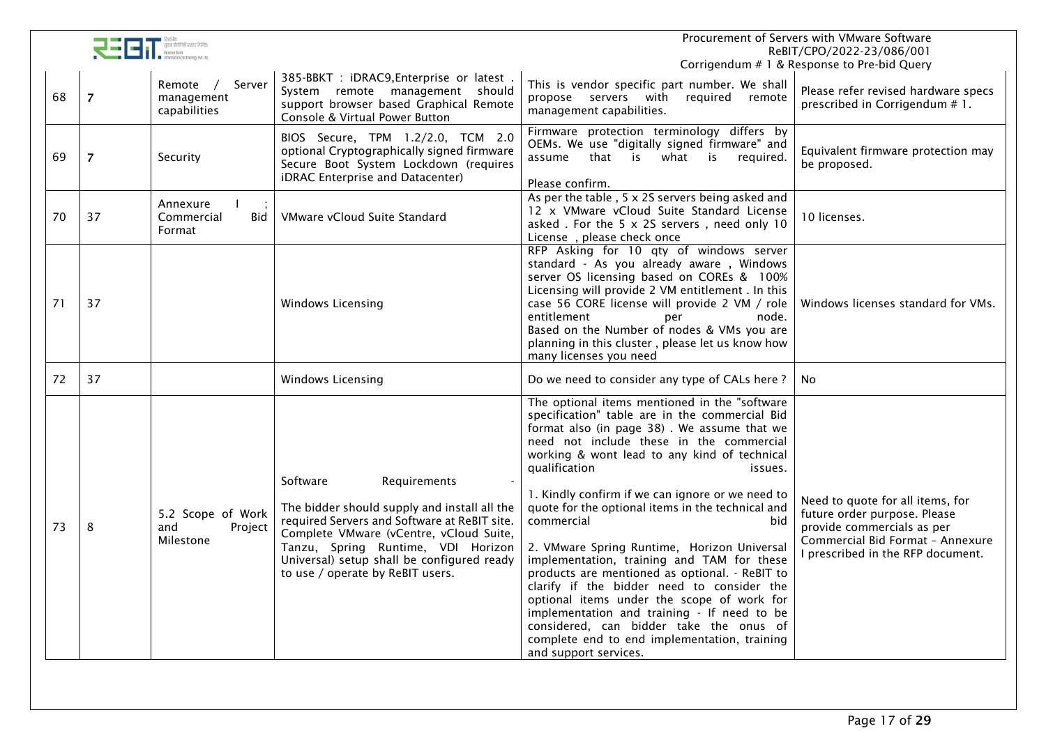|    |                |                                                  |                                                                                                                                                                                                                                                                                             |                                                                                                                                                                                                                                                                                                                                                                                                                                                                                                                                                                                                                                                                                                                                                                                                                    | Procurement of Servers with VMware Software<br>ReBIT/CPO/2022-23/086/001                                                                                                |
|----|----------------|--------------------------------------------------|---------------------------------------------------------------------------------------------------------------------------------------------------------------------------------------------------------------------------------------------------------------------------------------------|--------------------------------------------------------------------------------------------------------------------------------------------------------------------------------------------------------------------------------------------------------------------------------------------------------------------------------------------------------------------------------------------------------------------------------------------------------------------------------------------------------------------------------------------------------------------------------------------------------------------------------------------------------------------------------------------------------------------------------------------------------------------------------------------------------------------|-------------------------------------------------------------------------------------------------------------------------------------------------------------------------|
|    |                |                                                  |                                                                                                                                                                                                                                                                                             |                                                                                                                                                                                                                                                                                                                                                                                                                                                                                                                                                                                                                                                                                                                                                                                                                    | Corrigendum # 1 & Response to Pre-bid Query                                                                                                                             |
| 68 | $\overline{7}$ | Remote /<br>Server<br>management<br>capabilities | 385-BBKT : iDRAC9, Enterprise or latest<br>System remote management should<br>support browser based Graphical Remote<br>Console & Virtual Power Button                                                                                                                                      | This is vendor specific part number. We shall<br>propose servers with<br>required remote<br>management capabilities.                                                                                                                                                                                                                                                                                                                                                                                                                                                                                                                                                                                                                                                                                               | Please refer revised hardware specs<br>prescribed in Corrigendum # 1.                                                                                                   |
| 69 | $\overline{7}$ | Security                                         | BIOS Secure, TPM 1.2/2.0, TCM 2.0<br>optional Cryptographically signed firmware<br>Secure Boot System Lockdown (requires<br>iDRAC Enterprise and Datacenter)                                                                                                                                | Firmware protection terminology differs by<br>OEMs. We use "digitally signed firmware" and<br>that is what is<br>required.<br>assume<br>Please confirm.                                                                                                                                                                                                                                                                                                                                                                                                                                                                                                                                                                                                                                                            | Equivalent firmware protection may<br>be proposed.                                                                                                                      |
| 70 | 37             | Annexure<br>Commercial<br>Bid<br>Format          | VMware vCloud Suite Standard                                                                                                                                                                                                                                                                | As per the table, 5 x 2S servers being asked and<br>12 x VMware vCloud Suite Standard License<br>asked . For the 5 x 2S servers, need only 10<br>License, please check once                                                                                                                                                                                                                                                                                                                                                                                                                                                                                                                                                                                                                                        | 10 licenses.                                                                                                                                                            |
| 71 | 37             |                                                  | Windows Licensing                                                                                                                                                                                                                                                                           | RFP Asking for 10 qty of windows server<br>standard - As you already aware, Windows<br>server OS licensing based on COREs & 100%<br>Licensing will provide 2 VM entitlement . In this<br>case 56 CORE license will provide 2 VM / role<br>entitlement<br>node.<br>per<br>Based on the Number of nodes & VMs you are<br>planning in this cluster, please let us know how<br>many licenses you need                                                                                                                                                                                                                                                                                                                                                                                                                  | Windows licenses standard for VMs.                                                                                                                                      |
| 72 | 37             |                                                  | Windows Licensing                                                                                                                                                                                                                                                                           | Do we need to consider any type of CALs here?                                                                                                                                                                                                                                                                                                                                                                                                                                                                                                                                                                                                                                                                                                                                                                      | No.                                                                                                                                                                     |
| 73 | 8              | 5.2 Scope of Work<br>and<br>Project<br>Milestone | Software<br>Requirements<br>The bidder should supply and install all the<br>required Servers and Software at ReBIT site.<br>Complete VMware (vCentre, vCloud Suite,<br>Tanzu, Spring Runtime, VDI Horizon<br>Universal) setup shall be configured ready<br>to use / operate by ReBIT users. | The optional items mentioned in the "software<br>specification" table are in the commercial Bid<br>format also (in page 38). We assume that we<br>need not include these in the commercial<br>working & wont lead to any kind of technical<br>qualification<br>issues.<br>1. Kindly confirm if we can ignore or we need to<br>quote for the optional items in the technical and<br>commercial<br>bid<br>2. VMware Spring Runtime, Horizon Universal<br>implementation, training and TAM for these<br>products are mentioned as optional. - ReBIT to<br>clarify if the bidder need to consider the<br>optional items under the scope of work for<br>implementation and training - If need to be<br>considered, can bidder take the onus of<br>complete end to end implementation, training<br>and support services. | Need to quote for all items, for<br>future order purpose. Please<br>provide commercials as per<br>Commercial Bid Format - Annexure<br>I prescribed in the RFP document. |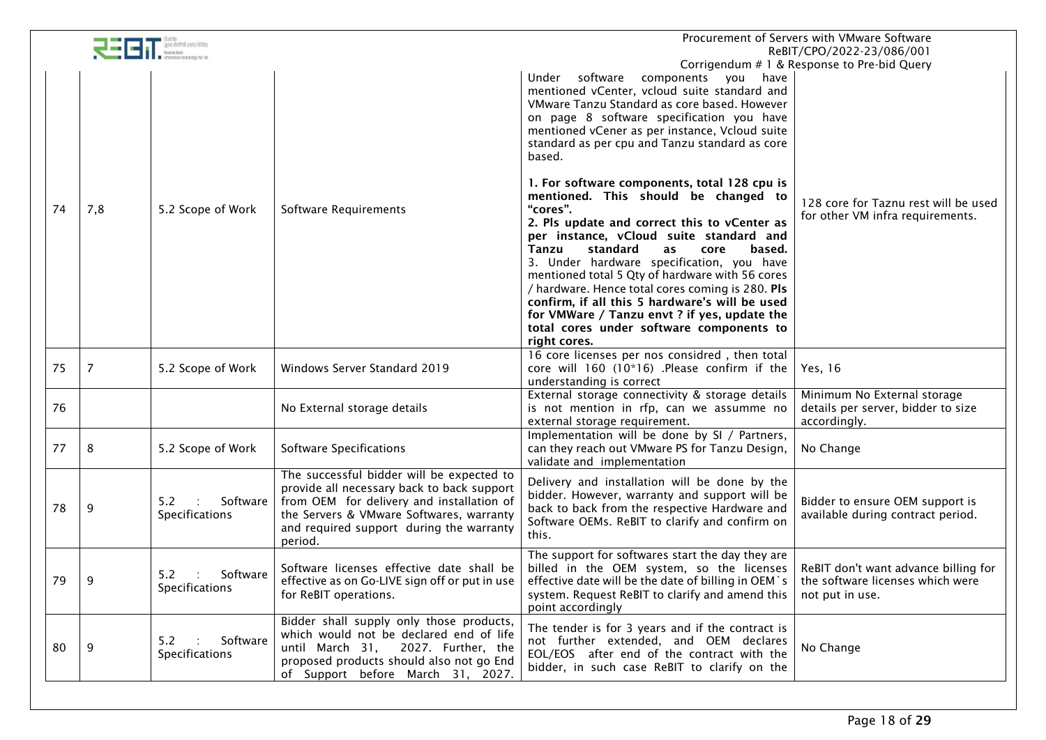|    | Procurement of Servers with VMware Software<br>ReBIT/CPO/2022-23/086/001 |                                        |                                                                                                                                                                                                                                         |                                                                                                                                                                                                                                                                                                                                                                                                                                                                                                                                                            |                                                                                             |
|----|--------------------------------------------------------------------------|----------------------------------------|-----------------------------------------------------------------------------------------------------------------------------------------------------------------------------------------------------------------------------------------|------------------------------------------------------------------------------------------------------------------------------------------------------------------------------------------------------------------------------------------------------------------------------------------------------------------------------------------------------------------------------------------------------------------------------------------------------------------------------------------------------------------------------------------------------------|---------------------------------------------------------------------------------------------|
|    |                                                                          |                                        |                                                                                                                                                                                                                                         | Under software<br>components you have<br>mentioned vCenter, vcloud suite standard and<br>VMware Tanzu Standard as core based. However<br>on page 8 software specification you have<br>mentioned vCener as per instance, Vcloud suite<br>standard as per cpu and Tanzu standard as core<br>based.                                                                                                                                                                                                                                                           | Corrigendum # 1 & Response to Pre-bid Query                                                 |
| 74 | 7,8                                                                      | 5.2 Scope of Work                      | Software Requirements                                                                                                                                                                                                                   | 1. For software components, total 128 cpu is<br>mentioned. This should be changed to<br>"cores".<br>2. Pls update and correct this to vCenter as<br>per instance, vCloud suite standard and<br>Tanzu<br>standard<br>based.<br>as<br>core<br>3. Under hardware specification, you have<br>mentioned total 5 Qty of hardware with 56 cores<br>/ hardware. Hence total cores coming is 280. Pls<br>confirm, if all this 5 hardware's will be used<br>for VMWare / Tanzu envt ? if yes, update the<br>total cores under software components to<br>right cores. | 128 core for Taznu rest will be used<br>for other VM infra requirements.                    |
| 75 | 7                                                                        | 5.2 Scope of Work                      | Windows Server Standard 2019                                                                                                                                                                                                            | 16 core licenses per nos considred, then total<br>core will 160 (10*16) .Please confirm if the<br>understanding is correct                                                                                                                                                                                                                                                                                                                                                                                                                                 | Yes, 16                                                                                     |
| 76 |                                                                          |                                        | No External storage details                                                                                                                                                                                                             | External storage connectivity & storage details<br>is not mention in rfp, can we assumme no<br>external storage requirement.                                                                                                                                                                                                                                                                                                                                                                                                                               | Minimum No External storage<br>details per server, bidder to size<br>accordingly.           |
| 77 | 8                                                                        | 5.2 Scope of Work                      | <b>Software Specifications</b>                                                                                                                                                                                                          | Implementation will be done by SI / Partners,<br>can they reach out VMware PS for Tanzu Design,<br>validate and implementation                                                                                                                                                                                                                                                                                                                                                                                                                             | No Change                                                                                   |
| 78 | 9                                                                        | Software<br>5.2<br>Specifications      | The successful bidder will be expected to<br>provide all necessary back to back support<br>from OEM for delivery and installation of<br>the Servers & VMware Softwares, warranty<br>and required support during the warranty<br>period. | Delivery and installation will be done by the<br>bidder. However, warranty and support will be<br>back to back from the respective Hardware and<br>Software OEMs. ReBIT to clarify and confirm on<br>this.                                                                                                                                                                                                                                                                                                                                                 | Bidder to ensure OEM support is<br>available during contract period.                        |
| 79 | -9                                                                       | Software<br>5.2<br>Specifications      | Software licenses effective date shall be<br>effective as on Go-LIVE sign off or put in use<br>for ReBIT operations.                                                                                                                    | The support for softwares start the day they are<br>billed in the OEM system, so the licenses<br>effective date will be the date of billing in OEM`s<br>system. Request ReBIT to clarify and amend this<br>point accordingly                                                                                                                                                                                                                                                                                                                               | ReBIT don't want advance billing for<br>the software licenses which were<br>not put in use. |
| 80 | - 9                                                                      | Software<br>5.2<br>÷<br>Specifications | Bidder shall supply only those products,<br>which would not be declared end of life<br>until March 31, 2027. Further, the<br>proposed products should also not go End<br>of Support before March 31, 2027.                              | The tender is for 3 years and if the contract is<br>not further extended, and OEM declares<br>EOL/EOS after end of the contract with the<br>bidder, in such case ReBIT to clarify on the                                                                                                                                                                                                                                                                                                                                                                   | No Change                                                                                   |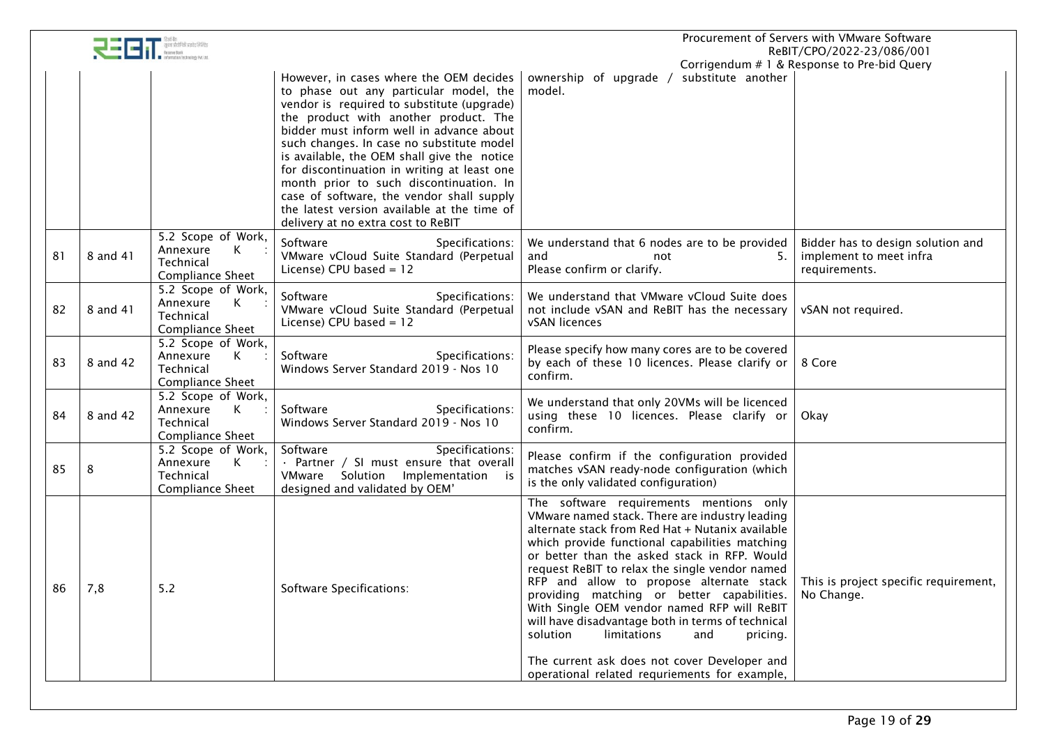|    |          |                                                                                        |                                                                                                                                                                                                                                                                                                                                                                                                                                                                                                                                              | Procurement of Servers with VMware Software<br>ReBIT/CPO/2022-23/086/001                                                                                                                                                                                                                                                                                                                                                                                                                                                                                                                      |                                                                               |
|----|----------|----------------------------------------------------------------------------------------|----------------------------------------------------------------------------------------------------------------------------------------------------------------------------------------------------------------------------------------------------------------------------------------------------------------------------------------------------------------------------------------------------------------------------------------------------------------------------------------------------------------------------------------------|-----------------------------------------------------------------------------------------------------------------------------------------------------------------------------------------------------------------------------------------------------------------------------------------------------------------------------------------------------------------------------------------------------------------------------------------------------------------------------------------------------------------------------------------------------------------------------------------------|-------------------------------------------------------------------------------|
|    |          |                                                                                        | However, in cases where the OEM decides<br>to phase out any particular model, the<br>vendor is required to substitute (upgrade)<br>the product with another product. The<br>bidder must inform well in advance about<br>such changes. In case no substitute model<br>is available, the OEM shall give the notice<br>for discontinuation in writing at least one<br>month prior to such discontinuation. In<br>case of software, the vendor shall supply<br>the latest version available at the time of<br>delivery at no extra cost to ReBIT | substitute another<br>ownership of upgrade /<br>model.                                                                                                                                                                                                                                                                                                                                                                                                                                                                                                                                        | Corrigendum # 1 & Response to Pre-bid Query                                   |
| 81 | 8 and 41 | 5.2 Scope of Work,<br>Annexure<br>$K$ :<br>Technical<br>Compliance Sheet               | Software<br>Specifications:<br>VMware vCloud Suite Standard (Perpetual<br>License) CPU based = 12                                                                                                                                                                                                                                                                                                                                                                                                                                            | We understand that 6 nodes are to be provided<br>and<br>5.<br>not<br>Please confirm or clarify.                                                                                                                                                                                                                                                                                                                                                                                                                                                                                               | Bidder has to design solution and<br>implement to meet infra<br>requirements. |
| 82 | 8 and 41 | 5.2 Scope of Work,<br>Annexure<br>К<br>Technical<br><b>Compliance Sheet</b>            | Software<br>Specifications:<br>VMware vCloud Suite Standard (Perpetual<br>License) CPU based = 12                                                                                                                                                                                                                                                                                                                                                                                                                                            | We understand that VMware vCloud Suite does<br>not include vSAN and ReBIT has the necessary<br>vSAN licences                                                                                                                                                                                                                                                                                                                                                                                                                                                                                  | vSAN not required.                                                            |
| 83 | 8 and 42 | 5.2 Scope of Work,<br>$\mathsf{K}$<br>Annexure<br>Technical<br><b>Compliance Sheet</b> | Software<br>Specifications:<br>Windows Server Standard 2019 - Nos 10                                                                                                                                                                                                                                                                                                                                                                                                                                                                         | Please specify how many cores are to be covered<br>by each of these 10 licences. Please clarify or<br>confirm.                                                                                                                                                                                                                                                                                                                                                                                                                                                                                | 8 Core                                                                        |
| 84 | 8 and 42 | 5.2 Scope of Work,<br>Annexure<br>$\mathsf{K}$<br>Technical<br>Compliance Sheet        | Software<br>Specifications:<br>Windows Server Standard 2019 - Nos 10                                                                                                                                                                                                                                                                                                                                                                                                                                                                         | We understand that only 20VMs will be licenced<br>using these 10 licences. Please clarify or<br>confirm.                                                                                                                                                                                                                                                                                                                                                                                                                                                                                      | Okay                                                                          |
| 85 | 8        | 5.2 Scope of Work,<br>Annexure<br>K<br>Technical<br><b>Compliance Sheet</b>            | Software<br>Specifications:<br>· Partner / SI must ensure that overall<br>VMware Solution Implementation is<br>designed and validated by OEM'                                                                                                                                                                                                                                                                                                                                                                                                | Please confirm if the configuration provided<br>matches vSAN ready-node configuration (which<br>is the only validated configuration)                                                                                                                                                                                                                                                                                                                                                                                                                                                          |                                                                               |
| 86 | 7,8      | $5.2$                                                                                  | Software Specifications:                                                                                                                                                                                                                                                                                                                                                                                                                                                                                                                     | The software requirements mentions only<br>VMware named stack. There are industry leading<br>alternate stack from Red Hat + Nutanix available<br>which provide functional capabilities matching<br>or better than the asked stack in RFP. Would<br>request ReBIT to relax the single vendor named<br>RFP and allow to propose alternate stack<br>providing matching or better capabilities.<br>With Single OEM vendor named RFP will ReBIT<br>will have disadvantage both in terms of technical<br>limitations<br>solution<br>and<br>pricing.<br>The current ask does not cover Developer and | This is project specific requirement,<br>No Change.                           |
|    |          |                                                                                        |                                                                                                                                                                                                                                                                                                                                                                                                                                                                                                                                              | operational related requriements for example,                                                                                                                                                                                                                                                                                                                                                                                                                                                                                                                                                 |                                                                               |